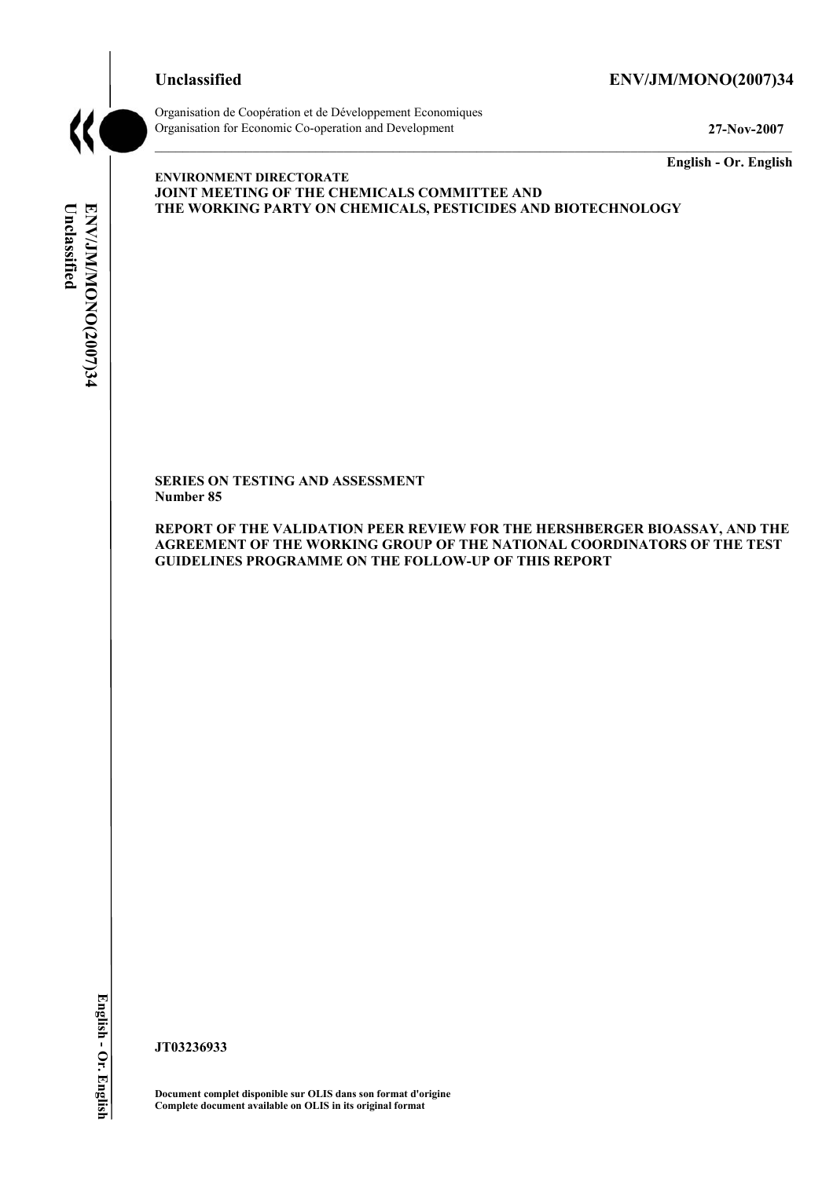# **Unclassified ENV/JM/MONO(2007)34**



Organisation de Coopération et de Développement Economiques Organisation for Economic Co-operation and Development **27-Nov-2007** 

**English - Or. English** 

# Unclassified **Unclassified**  ENV/JM/MONO(2007)34 **ENV/JM/MONO(2007)34 English - Or. English**

**ENVIRONMENT DIRECTORATE JOINT MEETING OF THE CHEMICALS COMMITTEE AND THE WORKING PARTY ON CHEMICALS, PESTICIDES AND BIOTECHNOLOGY** 

**SERIES ON TESTING AND ASSESSMENT Number 85** 

**REPORT OF THE VALIDATION PEER REVIEW FOR THE HERSHBERGER BIOASSAY, AND THE AGREEMENT OF THE WORKING GROUP OF THE NATIONAL COORDINATORS OF THE TEST GUIDELINES PROGRAMME ON THE FOLLOW-UP OF THIS REPORT** 

**JT03236933** 

**Document complet disponible sur OLIS dans son format d'origine Complete document available on OLIS in its original format**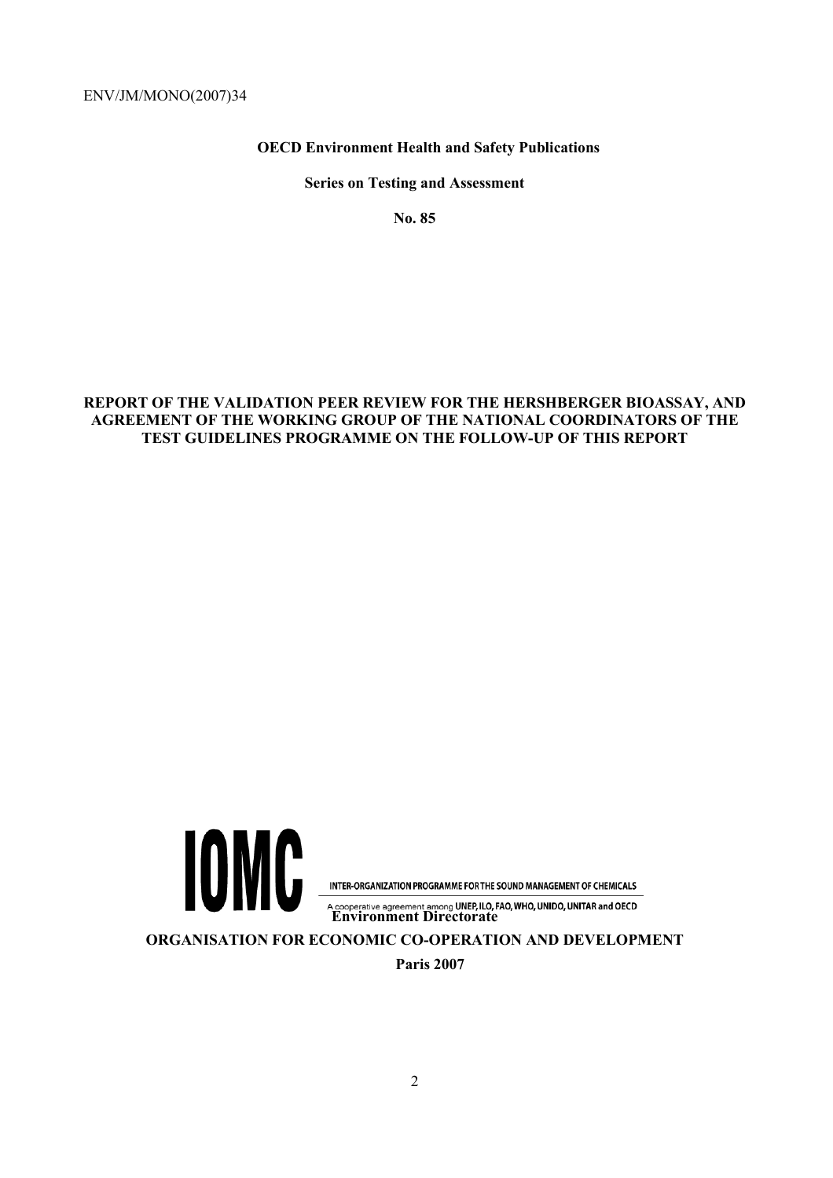ENV/JM/MONO(2007)34

 **OECD Environment Health and Safety Publications** 

**Series on Testing and Assessment** 

**No. 85** 

# **REPORT OF THE VALIDATION PEER REVIEW FOR THE HERSHBERGER BIOASSAY, AND AGREEMENT OF THE WORKING GROUP OF THE NATIONAL COORDINATORS OF THE TEST GUIDELINES PROGRAMME ON THE FOLLOW-UP OF THIS REPORT**



**Paris 2007**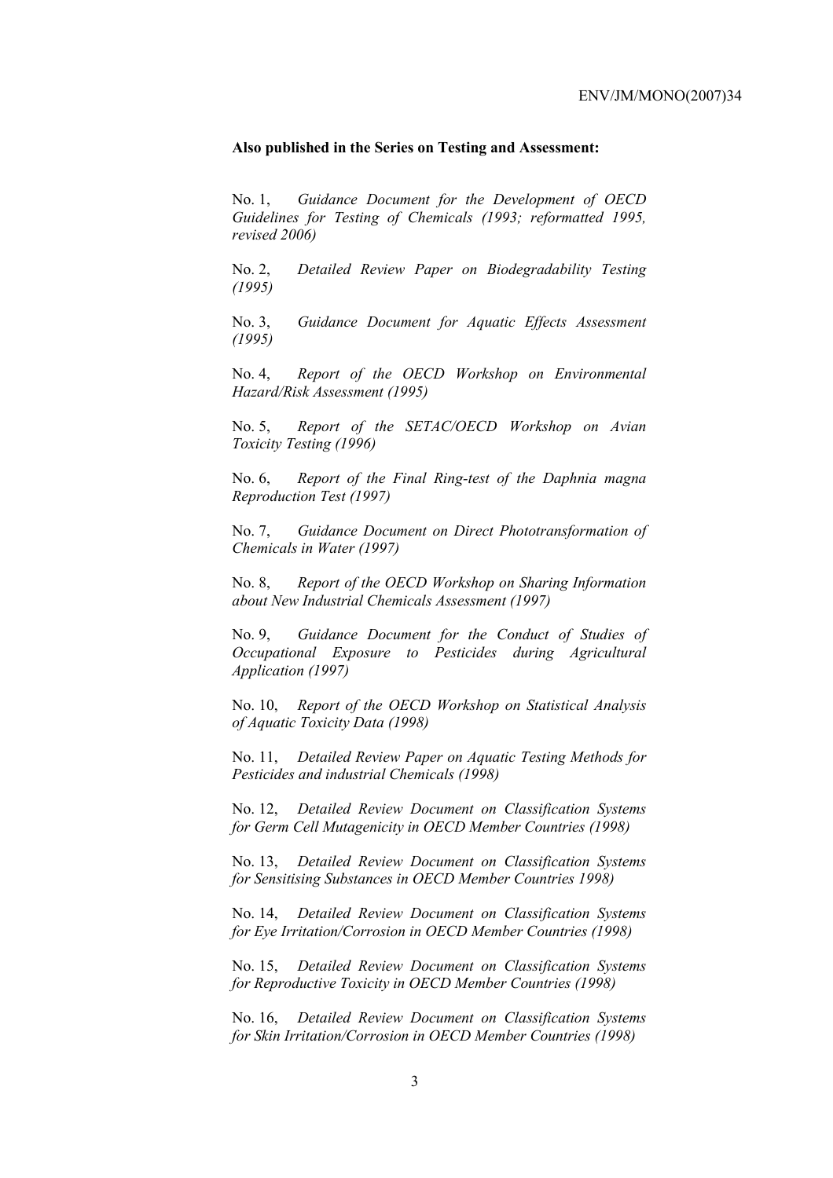## **Also published in the Series on Testing and Assessment:**

No. 1, *Guidance Document for the Development of OECD Guidelines for Testing of Chemicals (1993; reformatted 1995, revised 2006)*

No. 2, *Detailed Review Paper on Biodegradability Testing (1995)*

No. 3, *Guidance Document for Aquatic Effects Assessment (1995)* 

No. 4, *Report of the OECD Workshop on Environmental Hazard/Risk Assessment (1995)*

No. 5, *Report of the SETAC/OECD Workshop on Avian Toxicity Testing (1996)*

No. 6, *Report of the Final Ring-test of the Daphnia magna Reproduction Test (1997)*

No. 7, *Guidance Document on Direct Phototransformation of Chemicals in Water (1997)* 

No. 8, *Report of the OECD Workshop on Sharing Information about New Industrial Chemicals Assessment (1997)*

No. 9, *Guidance Document for the Conduct of Studies of Occupational Exposure to Pesticides during Agricultural Application (1997)*

No. 10, *Report of the OECD Workshop on Statistical Analysis of Aquatic Toxicity Data (1998)*

No. 11, *Detailed Review Paper on Aquatic Testing Methods for Pesticides and industrial Chemicals (1998)*

No. 12, *Detailed Review Document on Classification Systems for Germ Cell Mutagenicity in OECD Member Countries (1998)*

No. 13, *Detailed Review Document on Classification Systems for Sensitising Substances in OECD Member Countries 1998)*

No. 14, *Detailed Review Document on Classification Systems for Eye Irritation/Corrosion in OECD Member Countries (1998)*

No. 15, *Detailed Review Document on Classification Systems for Reproductive Toxicity in OECD Member Countries (1998)*

No. 16, *Detailed Review Document on Classification Systems for Skin Irritation/Corrosion in OECD Member Countries (1998)*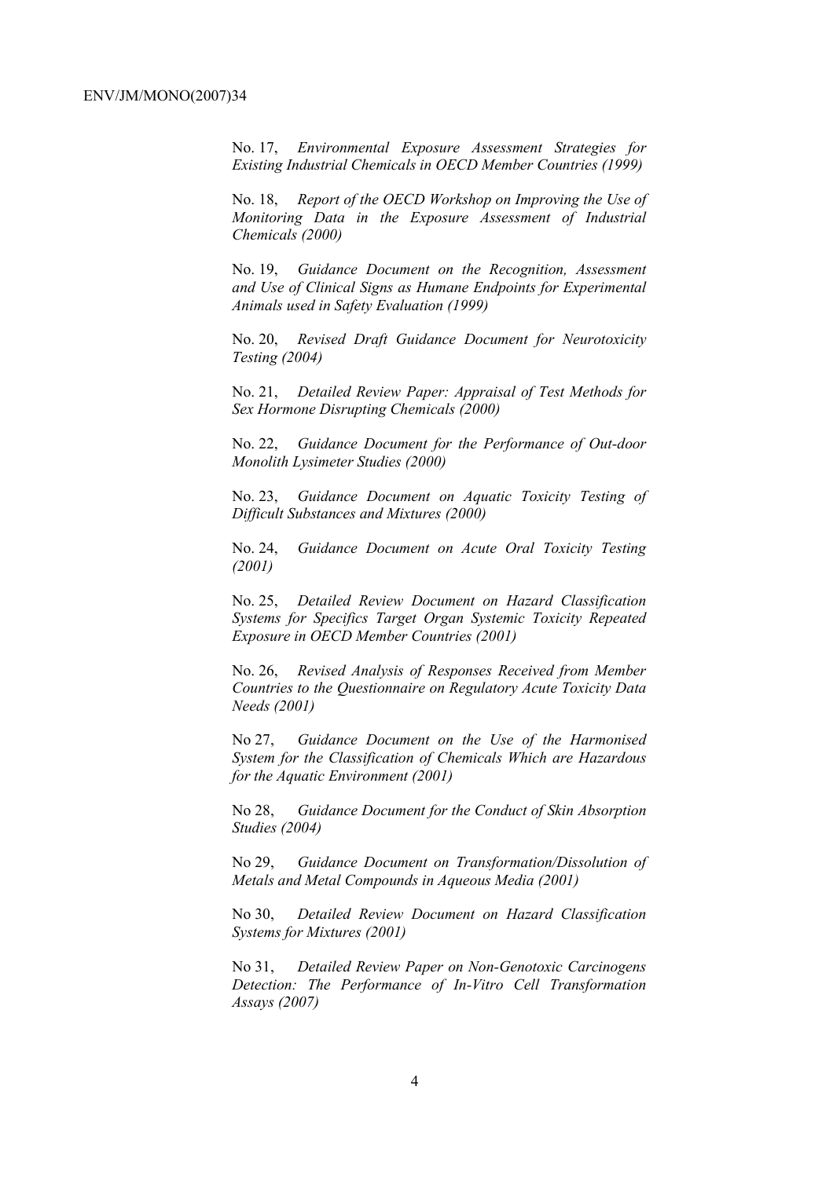No. 17, *Environmental Exposure Assessment Strategies for Existing Industrial Chemicals in OECD Member Countries (1999)*

No. 18, *Report of the OECD Workshop on Improving the Use of Monitoring Data in the Exposure Assessment of Industrial Chemicals (2000)*

No. 19, *Guidance Document on the Recognition, Assessment and Use of Clinical Signs as Humane Endpoints for Experimental Animals used in Safety Evaluation (1999)*

No. 20, *Revised Draft Guidance Document for Neurotoxicity Testing (2004)*

No. 21, *Detailed Review Paper: Appraisal of Test Methods for Sex Hormone Disrupting Chemicals (2000)*

No. 22, *Guidance Document for the Performance of Out-door Monolith Lysimeter Studies (2000)*

No. 23, *Guidance Document on Aquatic Toxicity Testing of Difficult Substances and Mixtures (2000)*

No. 24, *Guidance Document on Acute Oral Toxicity Testing (2001)*

No. 25, *Detailed Review Document on Hazard Classification Systems for Specifics Target Organ Systemic Toxicity Repeated Exposure in OECD Member Countries (2001)*

No. 26, *Revised Analysis of Responses Received from Member Countries to the Questionnaire on Regulatory Acute Toxicity Data Needs (2001)*

No 27, *Guidance Document on the Use of the Harmonised System for the Classification of Chemicals Which are Hazardous for the Aquatic Environment (2001)*

No 28, *Guidance Document for the Conduct of Skin Absorption Studies (2004)*

No 29, *Guidance Document on Transformation/Dissolution of Metals and Metal Compounds in Aqueous Media (2001)*

No 30, *Detailed Review Document on Hazard Classification Systems for Mixtures (2001)*

No 31, *Detailed Review Paper on Non-Genotoxic Carcinogens Detection: The Performance of In-Vitro Cell Transformation Assays (2007)*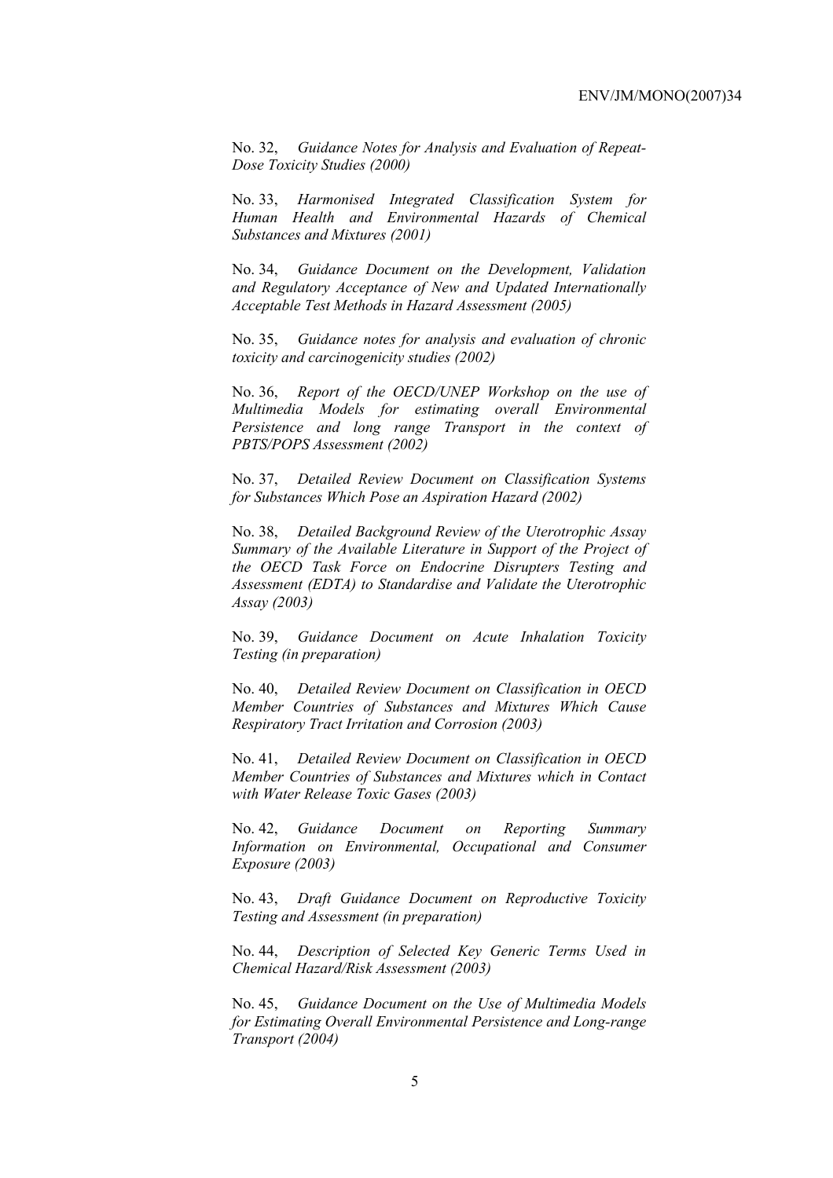No. 32, *Guidance Notes for Analysis and Evaluation of Repeat-Dose Toxicity Studies (2000)*

No. 33, *Harmonised Integrated Classification System for Human Health and Environmental Hazards of Chemical Substances and Mixtures (2001)*

No. 34, *Guidance Document on the Development, Validation and Regulatory Acceptance of New and Updated Internationally Acceptable Test Methods in Hazard Assessment (2005)*

No. 35, *Guidance notes for analysis and evaluation of chronic toxicity and carcinogenicity studies (2002)*

No. 36, *Report of the OECD/UNEP Workshop on the use of Multimedia Models for estimating overall Environmental Persistence and long range Transport in the context of PBTS/POPS Assessment (2002)*

No. 37, *Detailed Review Document on Classification Systems for Substances Which Pose an Aspiration Hazard (2002)*

No. 38, *Detailed Background Review of the Uterotrophic Assay Summary of the Available Literature in Support of the Project of the OECD Task Force on Endocrine Disrupters Testing and Assessment (EDTA) to Standardise and Validate the Uterotrophic Assay (2003)*

No. 39, *Guidance Document on Acute Inhalation Toxicity Testing (in preparation)*

No. 40, *Detailed Review Document on Classification in OECD Member Countries of Substances and Mixtures Which Cause Respiratory Tract Irritation and Corrosion (2003)*

No. 41, *Detailed Review Document on Classification in OECD Member Countries of Substances and Mixtures which in Contact with Water Release Toxic Gases (2003)*

No. 42, *Guidance Document on Reporting Summary Information on Environmental, Occupational and Consumer Exposure (2003)*

No. 43, *Draft Guidance Document on Reproductive Toxicity Testing and Assessment (in preparation)*

No. 44, *Description of Selected Key Generic Terms Used in Chemical Hazard/Risk Assessment (2003)* 

No. 45, *Guidance Document on the Use of Multimedia Models for Estimating Overall Environmental Persistence and Long-range Transport (2004)*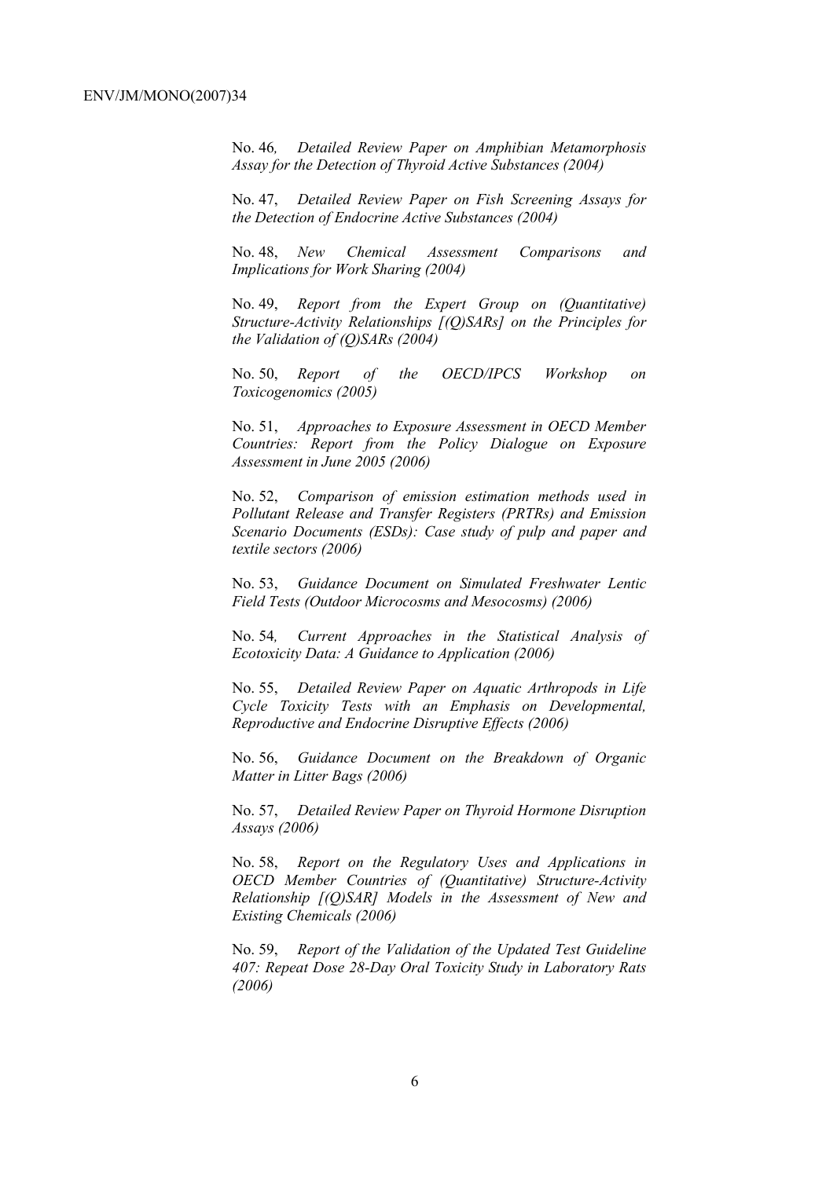No. 46*, Detailed Review Paper on Amphibian Metamorphosis Assay for the Detection of Thyroid Active Substances (2004)* 

No. 47, *Detailed Review Paper on Fish Screening Assays for the Detection of Endocrine Active Substances (2004)* 

No. 48, *New Chemical Assessment Comparisons and Implications for Work Sharing (2004)* 

No. 49, *Report from the Expert Group on (Quantitative) Structure-Activity Relationships [(Q)SARs] on the Principles for the Validation of (Q)SARs (2004)* 

No. 50, *Report of the OECD/IPCS Workshop on Toxicogenomics (2005)* 

No. 51, *Approaches to Exposure Assessment in OECD Member Countries: Report from the Policy Dialogue on Exposure Assessment in June 2005 (2006)* 

No. 52, *Comparison of emission estimation methods used in Pollutant Release and Transfer Registers (PRTRs) and Emission Scenario Documents (ESDs): Case study of pulp and paper and textile sectors (2006)* 

No. 53, *Guidance Document on Simulated Freshwater Lentic Field Tests (Outdoor Microcosms and Mesocosms) (2006)* 

No. 54*, Current Approaches in the Statistical Analysis of Ecotoxicity Data: A Guidance to Application (2006)* 

No. 55, *Detailed Review Paper on Aquatic Arthropods in Life Cycle Toxicity Tests with an Emphasis on Developmental, Reproductive and Endocrine Disruptive Effects (2006)* 

No. 56, *Guidance Document on the Breakdown of Organic Matter in Litter Bags (2006)* 

No. 57, *Detailed Review Paper on Thyroid Hormone Disruption Assays (2006)* 

No. 58, *Report on the Regulatory Uses and Applications in OECD Member Countries of (Quantitative) Structure-Activity Relationship [(Q)SAR] Models in the Assessment of New and Existing Chemicals (2006)* 

No. 59, *Report of the Validation of the Updated Test Guideline 407: Repeat Dose 28-Day Oral Toxicity Study in Laboratory Rats (2006)*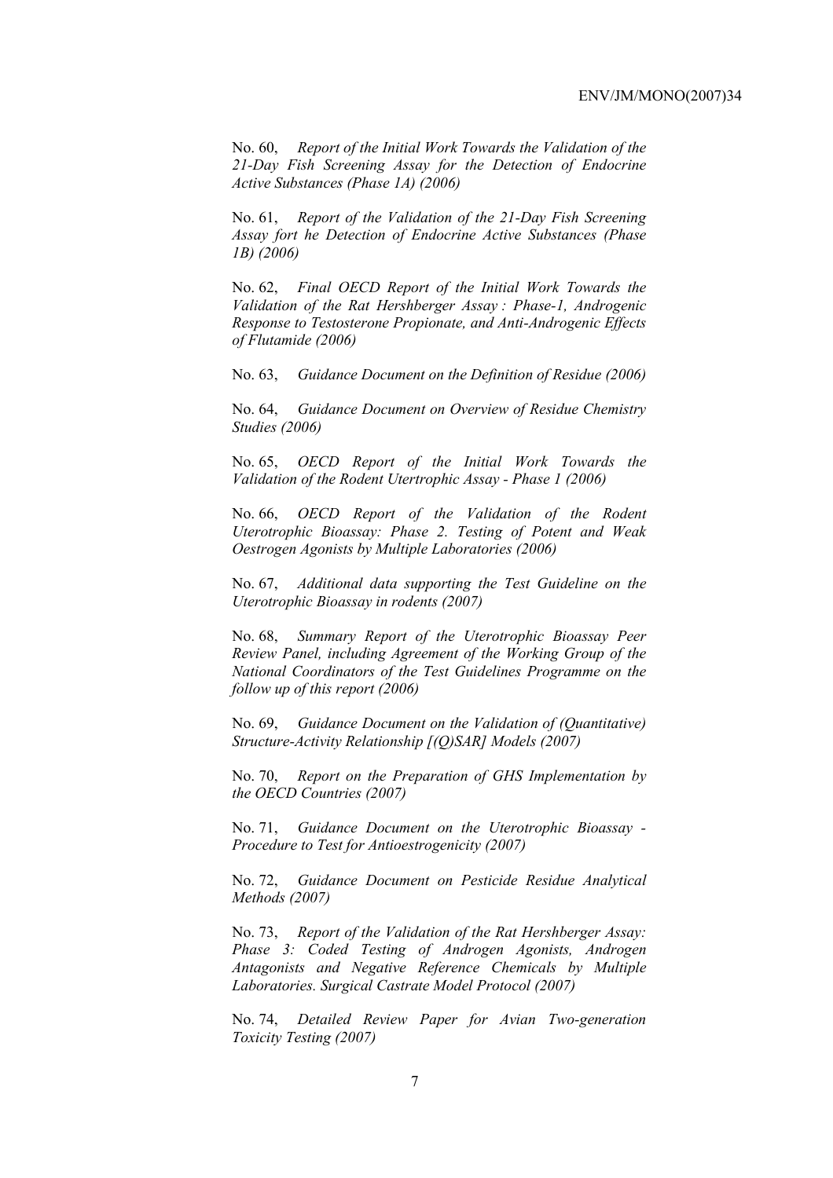No. 60, *Report of the Initial Work Towards the Validation of the 21-Day Fish Screening Assay for the Detection of Endocrine Active Substances (Phase 1A) (2006)* 

No. 61, *Report of the Validation of the 21-Day Fish Screening Assay fort he Detection of Endocrine Active Substances (Phase 1B) (2006)* 

No. 62, *Final OECD Report of the Initial Work Towards the Validation of the Rat Hershberger Assay : Phase-1, Androgenic Response to Testosterone Propionate, and Anti-Androgenic Effects of Flutamide (2006)* 

No. 63, *Guidance Document on the Definition of Residue (2006)* 

No. 64, *Guidance Document on Overview of Residue Chemistry Studies (2006)* 

No. 65, *OECD Report of the Initial Work Towards the Validation of the Rodent Utertrophic Assay - Phase 1 (2006)* 

No. 66, *OECD Report of the Validation of the Rodent Uterotrophic Bioassay: Phase 2. Testing of Potent and Weak Oestrogen Agonists by Multiple Laboratories (2006)* 

No. 67, *Additional data supporting the Test Guideline on the Uterotrophic Bioassay in rodents (2007)* 

No. 68, *Summary Report of the Uterotrophic Bioassay Peer Review Panel, including Agreement of the Working Group of the National Coordinators of the Test Guidelines Programme on the follow up of this report (2006)* 

No. 69, *Guidance Document on the Validation of (Quantitative) Structure-Activity Relationship [(Q)SAR] Models (2007)* 

No. 70, *Report on the Preparation of GHS Implementation by the OECD Countries (2007)*

No. 71, *Guidance Document on the Uterotrophic Bioassay - Procedure to Test for Antioestrogenicity (2007)*

No. 72, *Guidance Document on Pesticide Residue Analytical Methods (2007)* 

No. 73, *Report of the Validation of the Rat Hershberger Assay: Phase 3: Coded Testing of Androgen Agonists, Androgen Antagonists and Negative Reference Chemicals by Multiple Laboratories. Surgical Castrate Model Protocol (2007)* 

No. 74, *Detailed Review Paper for Avian Two-generation Toxicity Testing (2007)*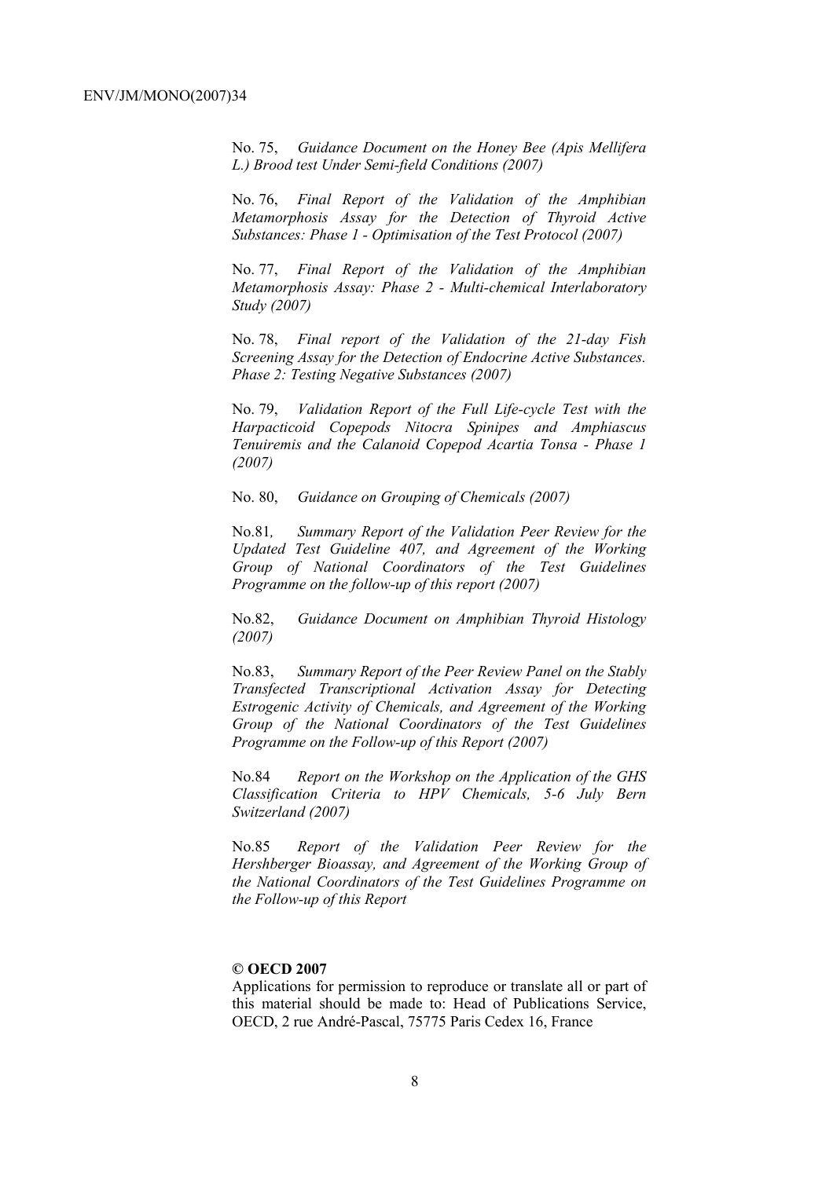No. 75, *Guidance Document on the Honey Bee (Apis Mellifera L.) Brood test Under Semi-field Conditions (2007)* 

No. 76, *Final Report of the Validation of the Amphibian Metamorphosis Assay for the Detection of Thyroid Active Substances: Phase 1 - Optimisation of the Test Protocol (2007)* 

No. 77, *Final Report of the Validation of the Amphibian Metamorphosis Assay: Phase 2 - Multi-chemical Interlaboratory Study (2007)* 

No. 78, *Final report of the Validation of the 21-day Fish Screening Assay for the Detection of Endocrine Active Substances. Phase 2: Testing Negative Substances (2007)* 

No. 79, *Validation Report of the Full Life-cycle Test with the Harpacticoid Copepods Nitocra Spinipes and Amphiascus Tenuiremis and the Calanoid Copepod Acartia Tonsa - Phase 1 (2007)* 

No. 80, *Guidance on Grouping of Chemicals (2007)* 

No.81*, Summary Report of the Validation Peer Review for the Updated Test Guideline 407, and Agreement of the Working Group of National Coordinators of the Test Guidelines Programme on the follow-up of this report (2007)* 

No.82, *Guidance Document on Amphibian Thyroid Histology (2007)* 

No.83, *Summary Report of the Peer Review Panel on the Stably Transfected Transcriptional Activation Assay for Detecting Estrogenic Activity of Chemicals, and Agreement of the Working Group of the National Coordinators of the Test Guidelines Programme on the Follow-up of this Report (2007)* 

No.84 *Report on the Workshop on the Application of the GHS Classification Criteria to HPV Chemicals, 5-6 July Bern Switzerland (2007)* 

No.85 *Report of the Validation Peer Review for the Hershberger Bioassay, and Agreement of the Working Group of the National Coordinators of the Test Guidelines Programme on the Follow-up of this Report* 

### **© OECD 2007**

Applications for permission to reproduce or translate all or part of this material should be made to: Head of Publications Service, OECD, 2 rue André-Pascal, 75775 Paris Cedex 16, France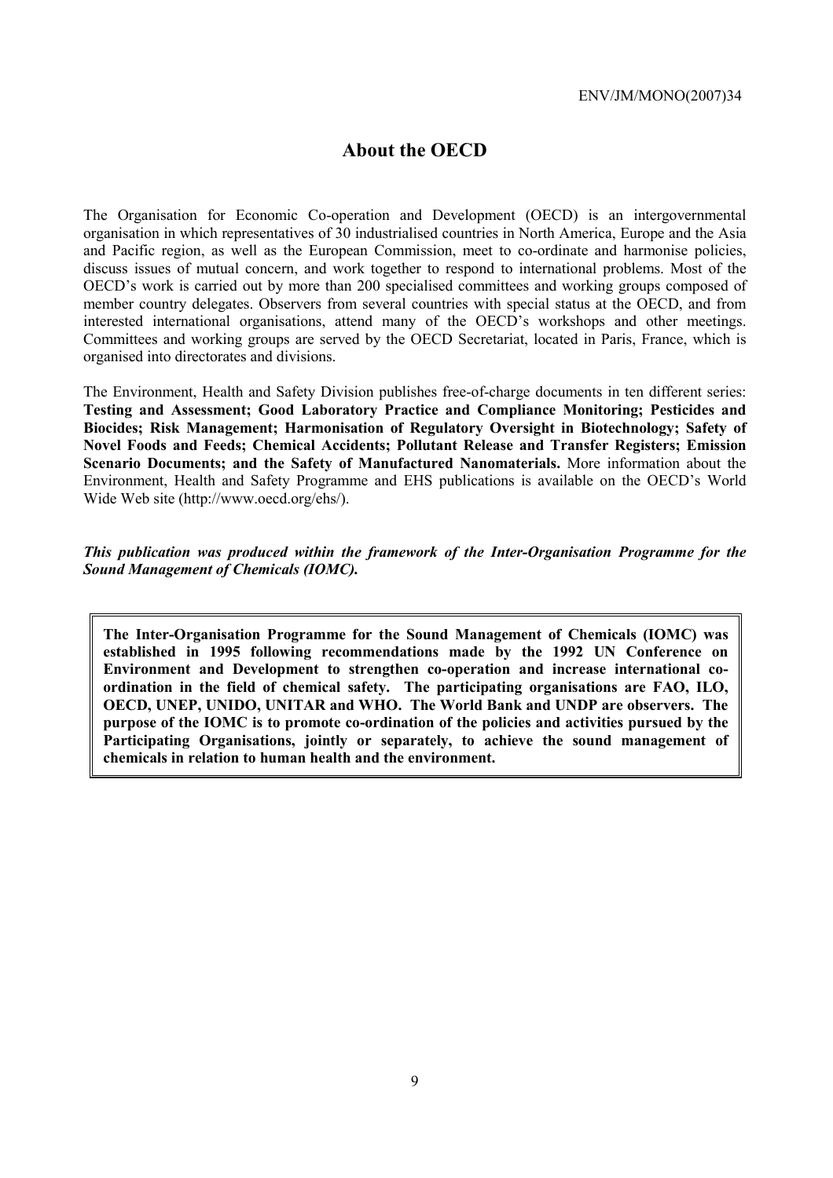# **About the OECD**

The Organisation for Economic Co-operation and Development (OECD) is an intergovernmental organisation in which representatives of 30 industrialised countries in North America, Europe and the Asia and Pacific region, as well as the European Commission, meet to co-ordinate and harmonise policies, discuss issues of mutual concern, and work together to respond to international problems. Most of the OECD's work is carried out by more than 200 specialised committees and working groups composed of member country delegates. Observers from several countries with special status at the OECD, and from interested international organisations, attend many of the OECD's workshops and other meetings. Committees and working groups are served by the OECD Secretariat, located in Paris, France, which is organised into directorates and divisions.

The Environment, Health and Safety Division publishes free-of-charge documents in ten different series: **Testing and Assessment; Good Laboratory Practice and Compliance Monitoring; Pesticides and Biocides; Risk Management; Harmonisation of Regulatory Oversight in Biotechnology; Safety of Novel Foods and Feeds; Chemical Accidents; Pollutant Release and Transfer Registers; Emission Scenario Documents; and the Safety of Manufactured Nanomaterials.** More information about the Environment, Health and Safety Programme and EHS publications is available on the OECD's World Wide Web site (http://www.oecd.org/ehs/).

*This publication was produced within the framework of the Inter-Organisation Programme for the Sound Management of Chemicals (IOMC).* 

**The Inter-Organisation Programme for the Sound Management of Chemicals (IOMC) was established in 1995 following recommendations made by the 1992 UN Conference on Environment and Development to strengthen co-operation and increase international coordination in the field of chemical safety. The participating organisations are FAO, ILO, OECD, UNEP, UNIDO, UNITAR and WHO. The World Bank and UNDP are observers. The purpose of the IOMC is to promote co-ordination of the policies and activities pursued by the Participating Organisations, jointly or separately, to achieve the sound management of chemicals in relation to human health and the environment.**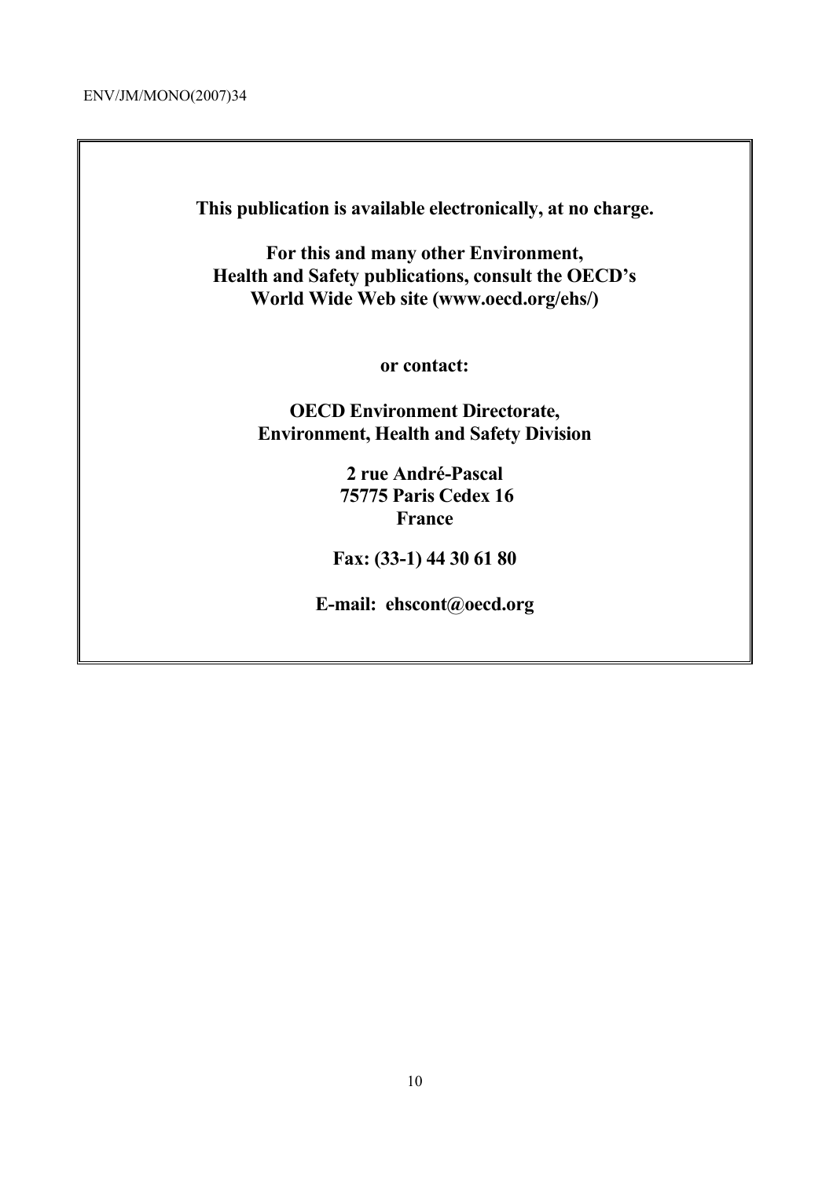ENV/JM/MONO(2007)34

**This publication is available electronically, at no charge.** 

**For this and many other Environment, Health and Safety publications, consult the OECD's World Wide Web site (www.oecd.org/ehs/)** 

**or contact:** 

**OECD Environment Directorate, Environment, Health and Safety Division**

> **2 rue André-Pascal 75775 Paris Cedex 16 France**

**Fax: (33-1) 44 30 61 80** 

**E-mail: ehscont@oecd.org**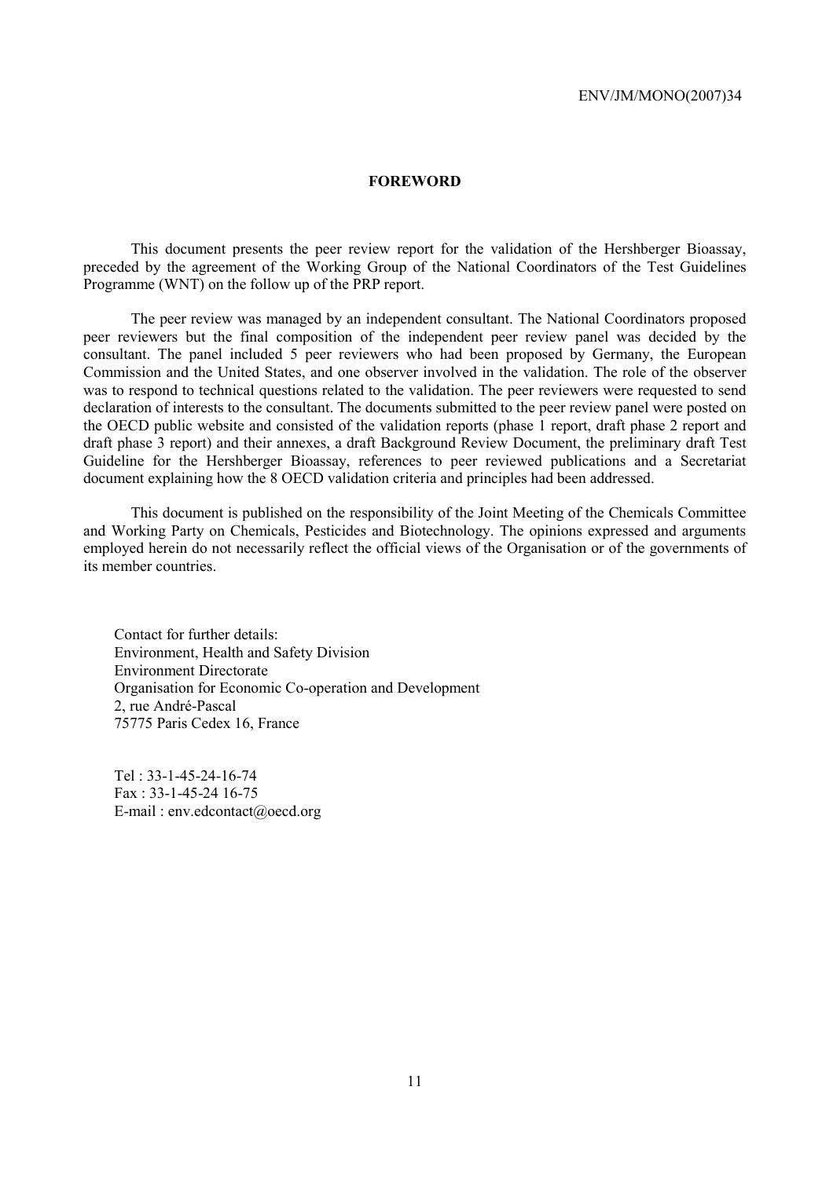## **FOREWORD**

 This document presents the peer review report for the validation of the Hershberger Bioassay, preceded by the agreement of the Working Group of the National Coordinators of the Test Guidelines Programme (WNT) on the follow up of the PRP report.

 The peer review was managed by an independent consultant. The National Coordinators proposed peer reviewers but the final composition of the independent peer review panel was decided by the consultant. The panel included 5 peer reviewers who had been proposed by Germany, the European Commission and the United States, and one observer involved in the validation. The role of the observer was to respond to technical questions related to the validation. The peer reviewers were requested to send declaration of interests to the consultant. The documents submitted to the peer review panel were posted on the OECD public website and consisted of the validation reports (phase 1 report, draft phase 2 report and draft phase 3 report) and their annexes, a draft Background Review Document, the preliminary draft Test Guideline for the Hershberger Bioassay, references to peer reviewed publications and a Secretariat document explaining how the 8 OECD validation criteria and principles had been addressed.

 This document is published on the responsibility of the Joint Meeting of the Chemicals Committee and Working Party on Chemicals, Pesticides and Biotechnology. The opinions expressed and arguments employed herein do not necessarily reflect the official views of the Organisation or of the governments of its member countries.

Contact for further details: Environment, Health and Safety Division Environment Directorate Organisation for Economic Co-operation and Development 2, rue André-Pascal 75775 Paris Cedex 16, France

Tel : 33-1-45-24-16-74 Fax : 33-1-45-24 16-75 E-mail : env.edcontact@oecd.org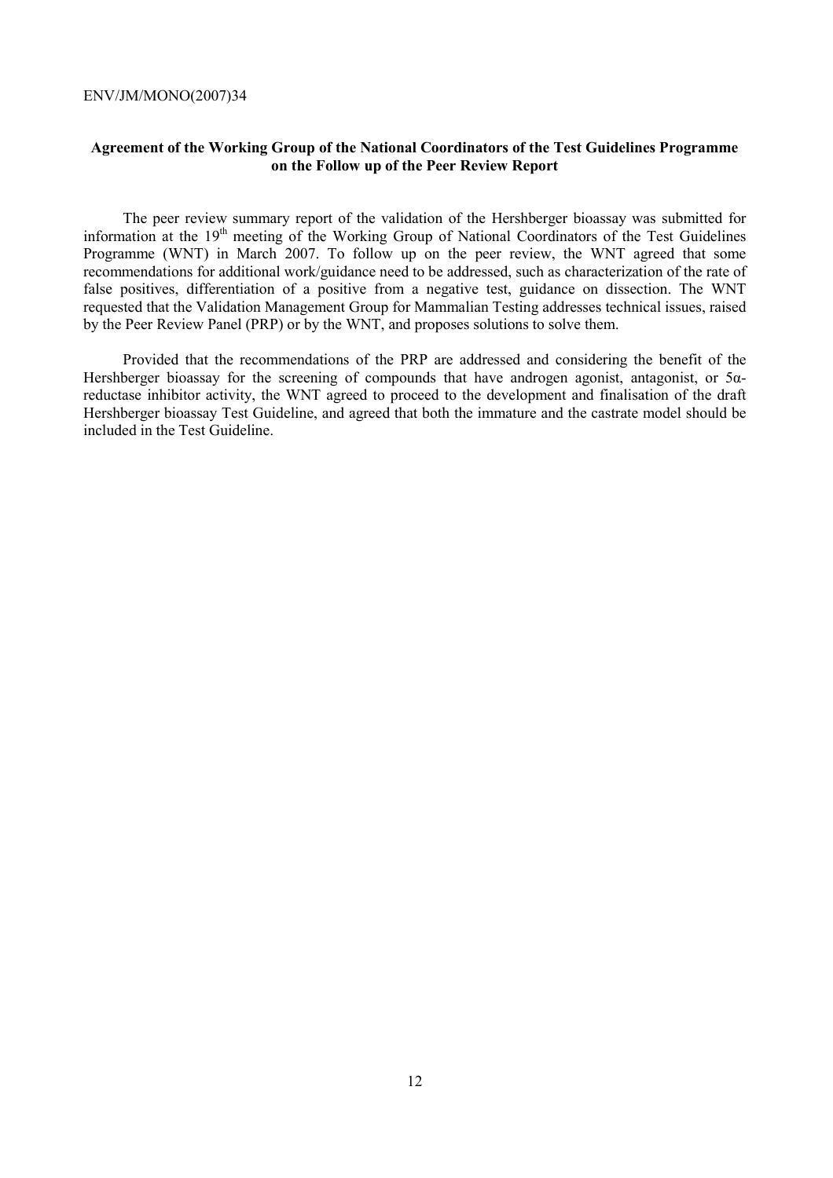# **Agreement of the Working Group of the National Coordinators of the Test Guidelines Programme on the Follow up of the Peer Review Report**

The peer review summary report of the validation of the Hershberger bioassay was submitted for information at the 19<sup>th</sup> meeting of the Working Group of National Coordinators of the Test Guidelines Programme (WNT) in March 2007. To follow up on the peer review, the WNT agreed that some recommendations for additional work/guidance need to be addressed, such as characterization of the rate of false positives, differentiation of a positive from a negative test, guidance on dissection. The WNT requested that the Validation Management Group for Mammalian Testing addresses technical issues, raised by the Peer Review Panel (PRP) or by the WNT, and proposes solutions to solve them.

Provided that the recommendations of the PRP are addressed and considering the benefit of the Hershberger bioassay for the screening of compounds that have androgen agonist, antagonist, or 5αreductase inhibitor activity, the WNT agreed to proceed to the development and finalisation of the draft Hershberger bioassay Test Guideline, and agreed that both the immature and the castrate model should be included in the Test Guideline.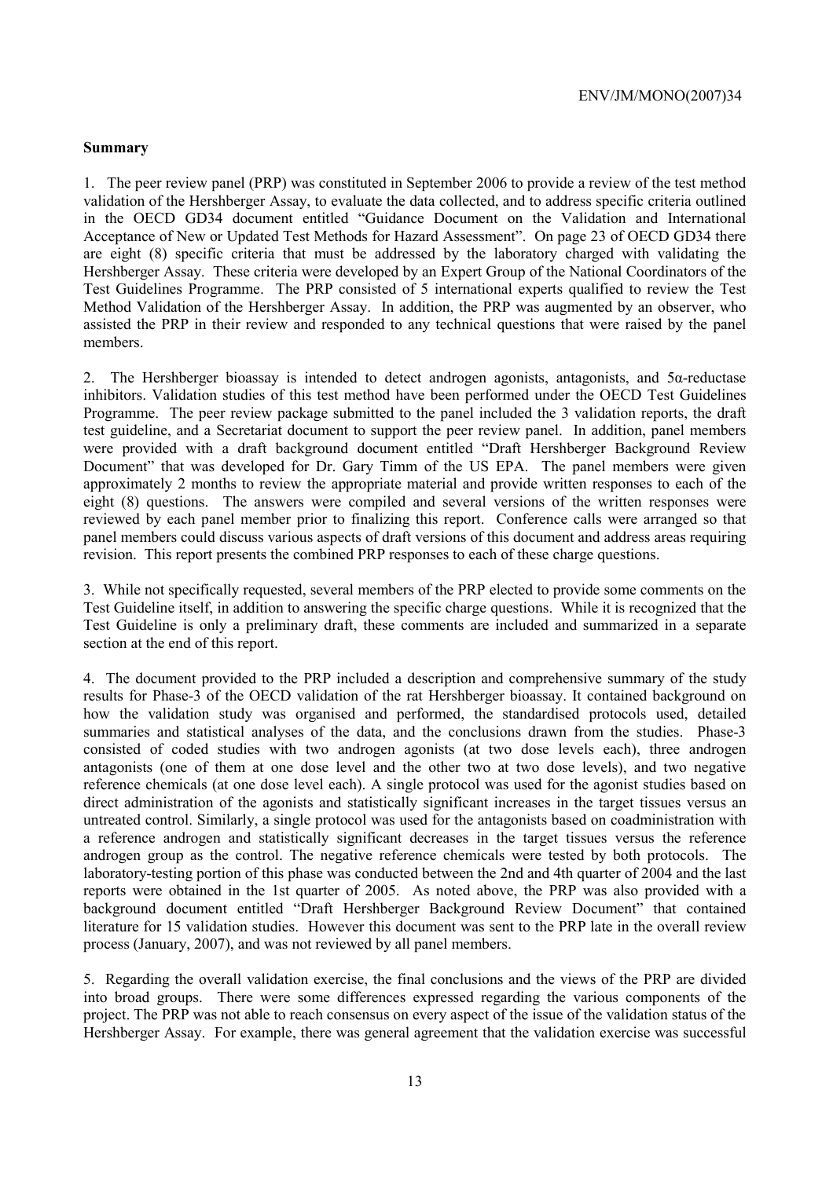## **Summary**

1. The peer review panel (PRP) was constituted in September 2006 to provide a review of the test method validation of the Hershberger Assay, to evaluate the data collected, and to address specific criteria outlined in the OECD GD34 document entitled "Guidance Document on the Validation and International Acceptance of New or Updated Test Methods for Hazard Assessment". On page 23 of OECD GD34 there are eight (8) specific criteria that must be addressed by the laboratory charged with validating the Hershberger Assay. These criteria were developed by an Expert Group of the National Coordinators of the Test Guidelines Programme. The PRP consisted of 5 international experts qualified to review the Test Method Validation of the Hershberger Assay. In addition, the PRP was augmented by an observer, who assisted the PRP in their review and responded to any technical questions that were raised by the panel members.

2. The Hershberger bioassay is intended to detect androgen agonists, antagonists, and  $5\alpha$ -reductase inhibitors. Validation studies of this test method have been performed under the OECD Test Guidelines Programme. The peer review package submitted to the panel included the 3 validation reports, the draft test guideline, and a Secretariat document to support the peer review panel. In addition, panel members were provided with a draft background document entitled "Draft Hershberger Background Review Document" that was developed for Dr. Gary Timm of the US EPA. The panel members were given approximately 2 months to review the appropriate material and provide written responses to each of the eight (8) questions. The answers were compiled and several versions of the written responses were reviewed by each panel member prior to finalizing this report. Conference calls were arranged so that panel members could discuss various aspects of draft versions of this document and address areas requiring revision. This report presents the combined PRP responses to each of these charge questions.

3. While not specifically requested, several members of the PRP elected to provide some comments on the Test Guideline itself, in addition to answering the specific charge questions. While it is recognized that the Test Guideline is only a preliminary draft, these comments are included and summarized in a separate section at the end of this report.

4. The document provided to the PRP included a description and comprehensive summary of the study results for Phase-3 of the OECD validation of the rat Hershberger bioassay. It contained background on how the validation study was organised and performed, the standardised protocols used, detailed summaries and statistical analyses of the data, and the conclusions drawn from the studies. Phase-3 consisted of coded studies with two androgen agonists (at two dose levels each), three androgen antagonists (one of them at one dose level and the other two at two dose levels), and two negative reference chemicals (at one dose level each). A single protocol was used for the agonist studies based on direct administration of the agonists and statistically significant increases in the target tissues versus an untreated control. Similarly, a single protocol was used for the antagonists based on coadministration with a reference androgen and statistically significant decreases in the target tissues versus the reference androgen group as the control. The negative reference chemicals were tested by both protocols. The laboratory-testing portion of this phase was conducted between the 2nd and 4th quarter of 2004 and the last reports were obtained in the 1st quarter of 2005. As noted above, the PRP was also provided with a background document entitled "Draft Hershberger Background Review Document" that contained literature for 15 validation studies. However this document was sent to the PRP late in the overall review process (January, 2007), and was not reviewed by all panel members.

5. Regarding the overall validation exercise, the final conclusions and the views of the PRP are divided into broad groups. There were some differences expressed regarding the various components of the project. The PRP was not able to reach consensus on every aspect of the issue of the validation status of the Hershberger Assay. For example, there was general agreement that the validation exercise was successful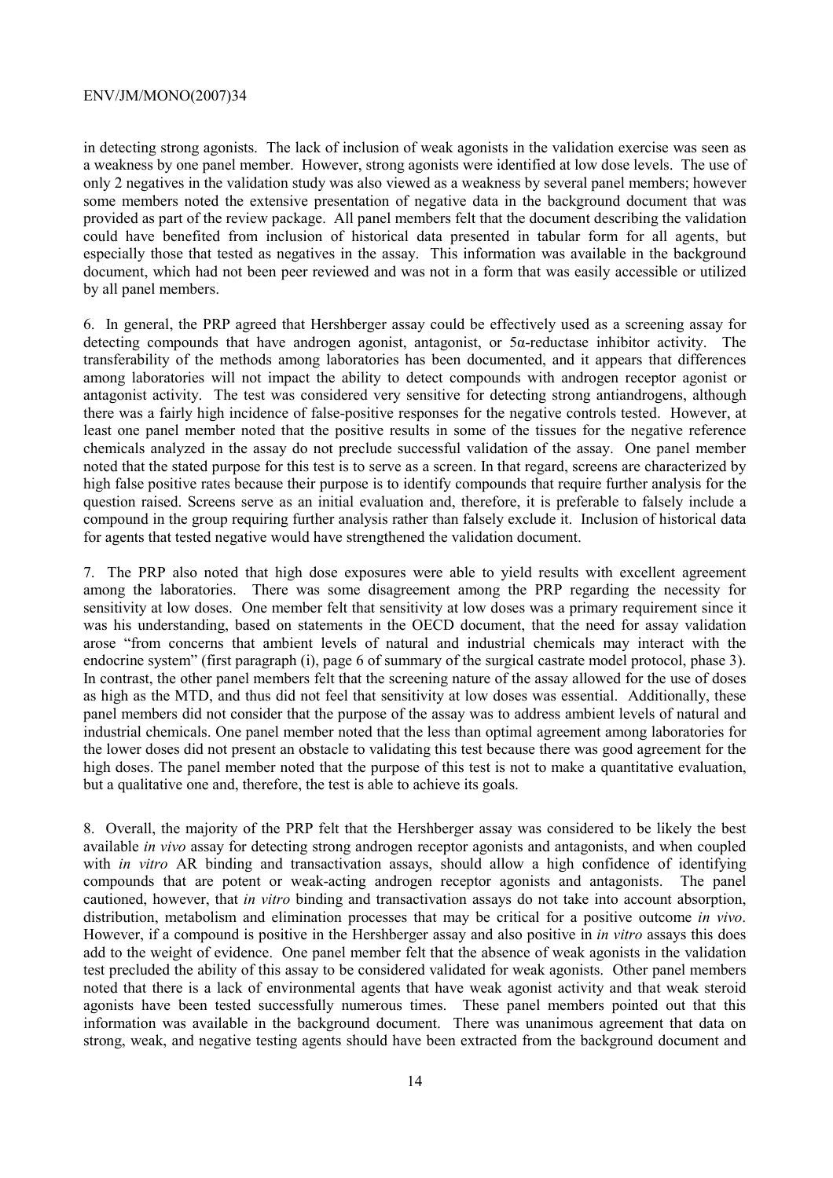## ENV/JM/MONO(2007)34

in detecting strong agonists. The lack of inclusion of weak agonists in the validation exercise was seen as a weakness by one panel member. However, strong agonists were identified at low dose levels. The use of only 2 negatives in the validation study was also viewed as a weakness by several panel members; however some members noted the extensive presentation of negative data in the background document that was provided as part of the review package. All panel members felt that the document describing the validation could have benefited from inclusion of historical data presented in tabular form for all agents, but especially those that tested as negatives in the assay. This information was available in the background document, which had not been peer reviewed and was not in a form that was easily accessible or utilized by all panel members.

6. In general, the PRP agreed that Hershberger assay could be effectively used as a screening assay for detecting compounds that have androgen agonist, antagonist, or 5α-reductase inhibitor activity. The transferability of the methods among laboratories has been documented, and it appears that differences among laboratories will not impact the ability to detect compounds with androgen receptor agonist or antagonist activity. The test was considered very sensitive for detecting strong antiandrogens, although there was a fairly high incidence of false-positive responses for the negative controls tested. However, at least one panel member noted that the positive results in some of the tissues for the negative reference chemicals analyzed in the assay do not preclude successful validation of the assay. One panel member noted that the stated purpose for this test is to serve as a screen. In that regard, screens are characterized by high false positive rates because their purpose is to identify compounds that require further analysis for the question raised. Screens serve as an initial evaluation and, therefore, it is preferable to falsely include a compound in the group requiring further analysis rather than falsely exclude it. Inclusion of historical data for agents that tested negative would have strengthened the validation document.

7. The PRP also noted that high dose exposures were able to yield results with excellent agreement among the laboratories. There was some disagreement among the PRP regarding the necessity for sensitivity at low doses. One member felt that sensitivity at low doses was a primary requirement since it was his understanding, based on statements in the OECD document, that the need for assay validation arose "from concerns that ambient levels of natural and industrial chemicals may interact with the endocrine system" (first paragraph (i), page 6 of summary of the surgical castrate model protocol, phase 3). In contrast, the other panel members felt that the screening nature of the assay allowed for the use of doses as high as the MTD, and thus did not feel that sensitivity at low doses was essential. Additionally, these panel members did not consider that the purpose of the assay was to address ambient levels of natural and industrial chemicals. One panel member noted that the less than optimal agreement among laboratories for the lower doses did not present an obstacle to validating this test because there was good agreement for the high doses. The panel member noted that the purpose of this test is not to make a quantitative evaluation, but a qualitative one and, therefore, the test is able to achieve its goals.

8. Overall, the majority of the PRP felt that the Hershberger assay was considered to be likely the best available *in vivo* assay for detecting strong androgen receptor agonists and antagonists, and when coupled with *in vitro* AR binding and transactivation assays, should allow a high confidence of identifying compounds that are potent or weak-acting androgen receptor agonists and antagonists. The panel cautioned, however, that *in vitro* binding and transactivation assays do not take into account absorption, distribution, metabolism and elimination processes that may be critical for a positive outcome *in vivo*. However, if a compound is positive in the Hershberger assay and also positive in *in vitro* assays this does add to the weight of evidence. One panel member felt that the absence of weak agonists in the validation test precluded the ability of this assay to be considered validated for weak agonists. Other panel members noted that there is a lack of environmental agents that have weak agonist activity and that weak steroid agonists have been tested successfully numerous times. These panel members pointed out that this information was available in the background document. There was unanimous agreement that data on strong, weak, and negative testing agents should have been extracted from the background document and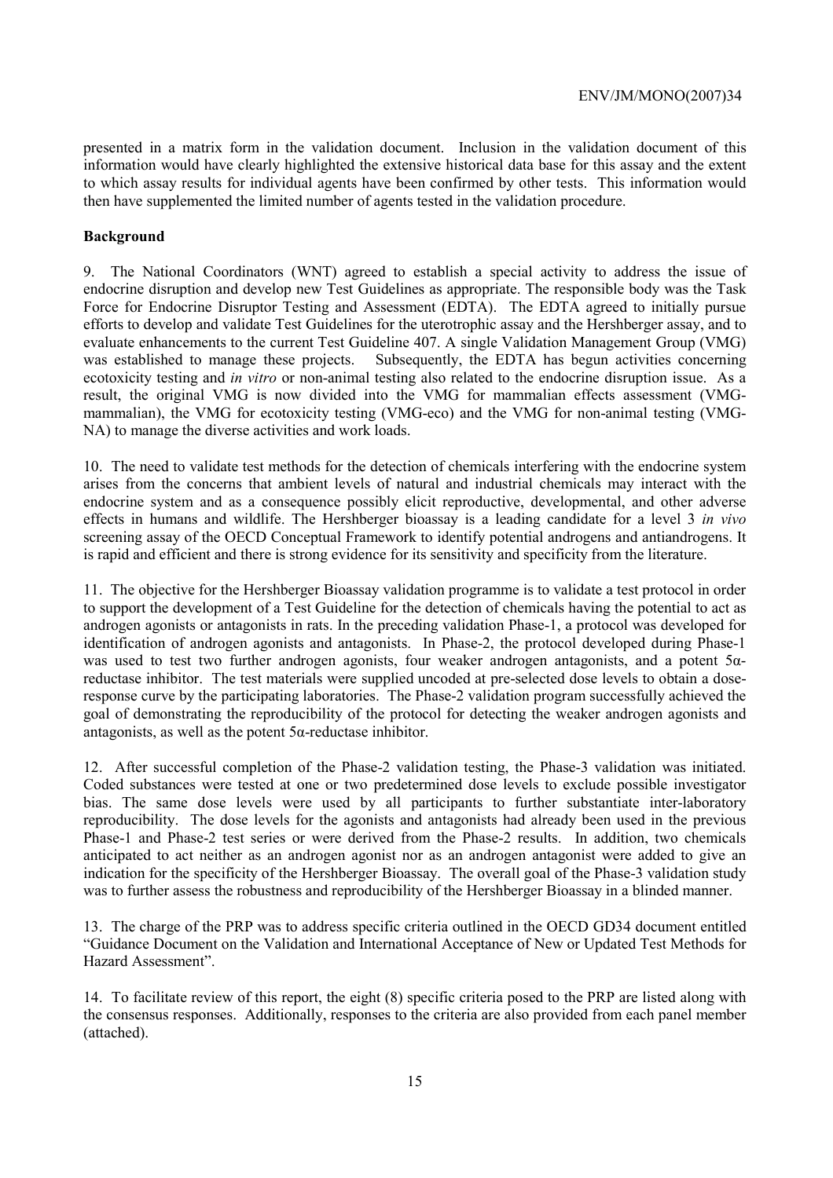presented in a matrix form in the validation document. Inclusion in the validation document of this information would have clearly highlighted the extensive historical data base for this assay and the extent to which assay results for individual agents have been confirmed by other tests. This information would then have supplemented the limited number of agents tested in the validation procedure.

# **Background**

9. The National Coordinators (WNT) agreed to establish a special activity to address the issue of endocrine disruption and develop new Test Guidelines as appropriate. The responsible body was the Task Force for Endocrine Disruptor Testing and Assessment (EDTA). The EDTA agreed to initially pursue efforts to develop and validate Test Guidelines for the uterotrophic assay and the Hershberger assay, and to evaluate enhancements to the current Test Guideline 407. A single Validation Management Group (VMG) was established to manage these projects. Subsequently, the EDTA has begun activities concerning ecotoxicity testing and *in vitro* or non-animal testing also related to the endocrine disruption issue. As a result, the original VMG is now divided into the VMG for mammalian effects assessment (VMGmammalian), the VMG for ecotoxicity testing (VMG-eco) and the VMG for non-animal testing (VMG-NA) to manage the diverse activities and work loads.

10. The need to validate test methods for the detection of chemicals interfering with the endocrine system arises from the concerns that ambient levels of natural and industrial chemicals may interact with the endocrine system and as a consequence possibly elicit reproductive, developmental, and other adverse effects in humans and wildlife. The Hershberger bioassay is a leading candidate for a level 3 *in vivo*  screening assay of the OECD Conceptual Framework to identify potential androgens and antiandrogens. It is rapid and efficient and there is strong evidence for its sensitivity and specificity from the literature.

11. The objective for the Hershberger Bioassay validation programme is to validate a test protocol in order to support the development of a Test Guideline for the detection of chemicals having the potential to act as androgen agonists or antagonists in rats. In the preceding validation Phase-1, a protocol was developed for identification of androgen agonists and antagonists. In Phase-2, the protocol developed during Phase-1 was used to test two further androgen agonists, four weaker androgen antagonists, and a potent 5αreductase inhibitor. The test materials were supplied uncoded at pre-selected dose levels to obtain a doseresponse curve by the participating laboratories. The Phase-2 validation program successfully achieved the goal of demonstrating the reproducibility of the protocol for detecting the weaker androgen agonists and antagonists, as well as the potent 5α-reductase inhibitor.

12. After successful completion of the Phase-2 validation testing, the Phase-3 validation was initiated. Coded substances were tested at one or two predetermined dose levels to exclude possible investigator bias. The same dose levels were used by all participants to further substantiate inter-laboratory reproducibility. The dose levels for the agonists and antagonists had already been used in the previous Phase-1 and Phase-2 test series or were derived from the Phase-2 results. In addition, two chemicals anticipated to act neither as an androgen agonist nor as an androgen antagonist were added to give an indication for the specificity of the Hershberger Bioassay. The overall goal of the Phase-3 validation study was to further assess the robustness and reproducibility of the Hershberger Bioassay in a blinded manner.

13. The charge of the PRP was to address specific criteria outlined in the OECD GD34 document entitled "Guidance Document on the Validation and International Acceptance of New or Updated Test Methods for Hazard Assessment".

14. To facilitate review of this report, the eight (8) specific criteria posed to the PRP are listed along with the consensus responses. Additionally, responses to the criteria are also provided from each panel member (attached).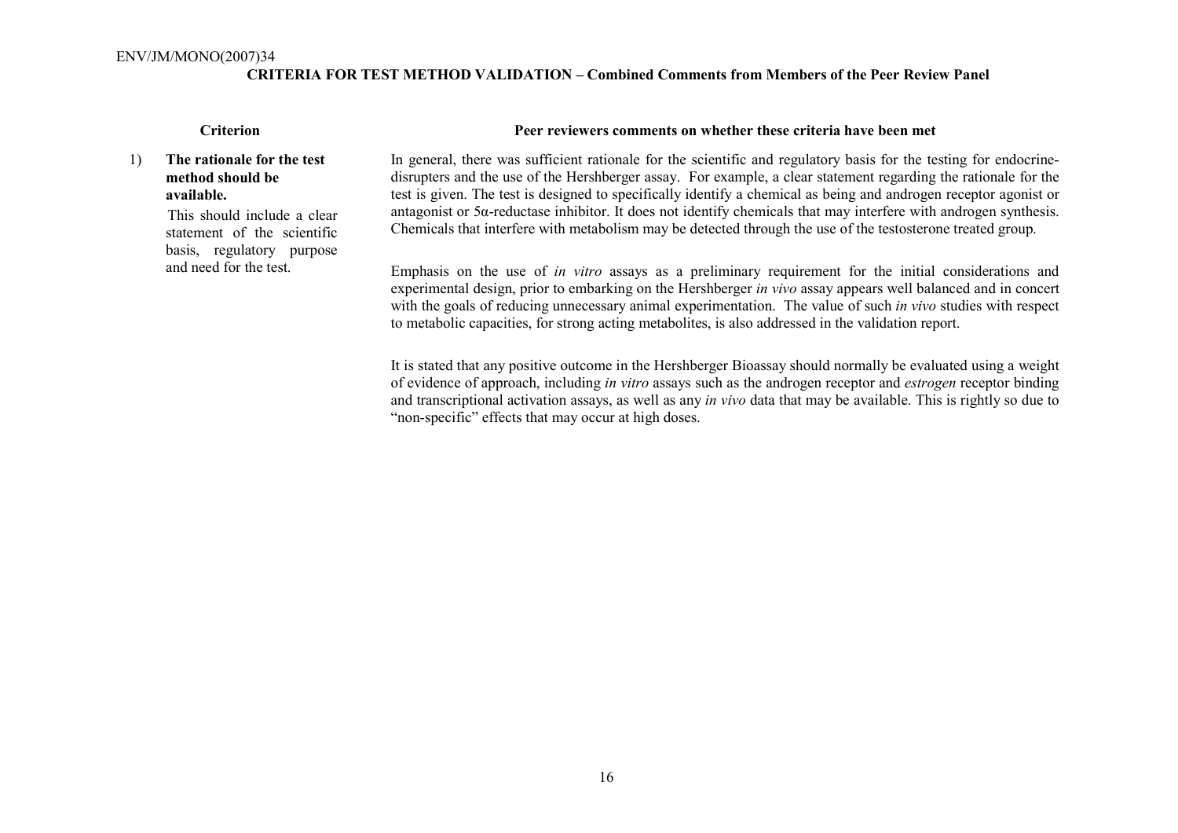## **CRITERIA FOR TEST METHOD VALIDATION – Combined Comments from Members of the Peer Review Panel**

# 1) **The rationale for the test method should be available.**

 This should include a clear statement of the scientific basis, regulatory purpose and need for the test.

## **Criterion Peer reviewers comments on whether these criteria have been met**

In general, there was sufficient rationale for the scientific and regulatory basis for the testing for endocrinedisrupters and the use of the Hershberger assay. For example, a clear statement regarding the rationale for the test is given. The test is designed to specifically identify a chemical as being and androgen receptor agonist or antagonist or 5α-reductase inhibitor. It does not identify chemicals that may interfere with androgen synthesis. Chemicals that interfere with metabolism may be detected through the use of the testosterone treated group.

Emphasis on the use of *in vitro* assays as a preliminary requirement for the initial considerations and experimental design, prior to embarking on the Hershberger *in vivo* assay appears well balanced and in concert with the goals of reducing unnecessary animal experimentation. The value of such *in vivo* studies with respect to metabolic capacities, for strong acting metabolites, is also addressed in the validation report.

It is stated that any positive outcome in the Hershberger Bioassay should normally be evaluated using a weight of evidence of approach, including *in vitro* assays such as the androgen receptor and *estrogen* receptor binding and transcriptional activation assays, as well as any *in vivo* data that may be available. This is rightly so due to "non-specific" effects that may occur at high doses.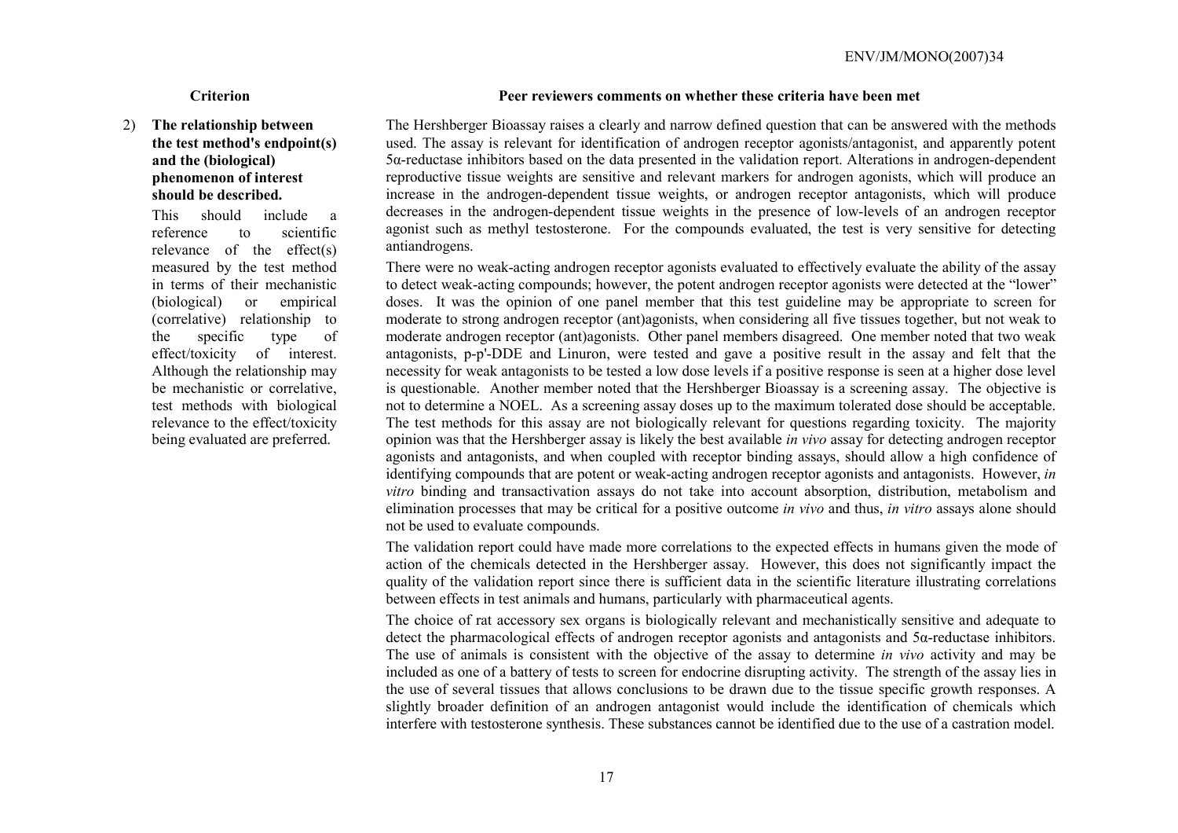# 2) **The relationship between the test method's endpoint(s) and the (biological) phenomenon of interest should be described.**

 This should include a reference to scientific relevance of the effect(s) measured by the test method in terms of their mechanistic (biological) or empirical (correlative) relationship to the specific type of effect/toxicity of interest. Although the relationship may be mechanistic or correlative, test methods with biological relevance to the effect/toxicity being evaluated are preferred.

## **Criterion Peer reviewers comments on whether these criteria have been met**

The Hershberger Bioassay raises a clearly and narrow defined question that can be answered with the methods used. The assay is relevant for identification of androgen receptor agonists/antagonist, and apparently potent 5α-reductase inhibitors based on the data presented in the validation report. Alterations in androgen-dependent reproductive tissue weights are sensitive and relevant markers for androgen agonists, which will produce an increase in the androgen-dependent tissue weights, or androgen receptor antagonists, which will produce decreases in the androgen-dependent tissue weights in the presence of low-levels of an androgen receptor agonist such as methyl testosterone. For the compounds evaluated, the test is very sensitive for detecting antiandrogens.

There were no weak-acting androgen receptor agonists evaluated to effectively evaluate the ability of the assay to detect weak-acting compounds; however, the potent androgen receptor agonists were detected at the "lower" doses. It was the opinion of one panel member that this test guideline may be appropriate to screen for moderate to strong androgen receptor (ant)agonists, when considering all five tissues together, but not weak to moderate androgen receptor (ant)agonists. Other panel members disagreed. One member noted that two weak antagonists, p-p'-DDE and Linuron, were tested and gave a positive result in the assay and felt that the necessity for weak antagonists to be tested a low dose levels if a positive response is seen at a higher dose level is questionable. Another member noted that the Hershberger Bioassay is a screening assay. The objective is not to determine a NOEL. As a screening assay doses up to the maximum tolerated dose should be acceptable. The test methods for this assay are not biologically relevant for questions regarding toxicity. The majority opinion was that the Hershberger assay is likely the best available *in vivo* assay for detecting androgen receptor agonists and antagonists, and when coupled with receptor binding assays, should allow a high confidence of identifying compounds that are potent or weak-acting androgen receptor agonists and antagonists. However, *in vitro* binding and transactivation assays do not take into account absorption, distribution, metabolism and elimination processes that may be critical for a positive outcome *in vivo* and thus, *in vitro* assays alone should not be used to evaluate compounds.

The validation report could have made more correlations to the expected effects in humans given the mode of action of the chemicals detected in the Hershberger assay. However, this does not significantly impact the quality of the validation report since there is sufficient data in the scientific literature illustrating correlations between effects in test animals and humans, particularly with pharmaceutical agents.

The choice of rat accessory sex organs is biologically relevant and mechanistically sensitive and adequate to detect the pharmacological effects of androgen receptor agonists and antagonists and  $5\alpha$ -reductase inhibitors. The use of animals is consistent with the objective of the assay to determine *in vivo* activity and may be included as one of a battery of tests to screen for endocrine disrupting activity. The strength of the assay lies in the use of several tissues that allows conclusions to be drawn due to the tissue specific growth responses. A slightly broader definition of an androgen antagonist would include the identification of chemicals which interfere with testosterone synthesis. These substances cannot be identified due to the use of a castration model.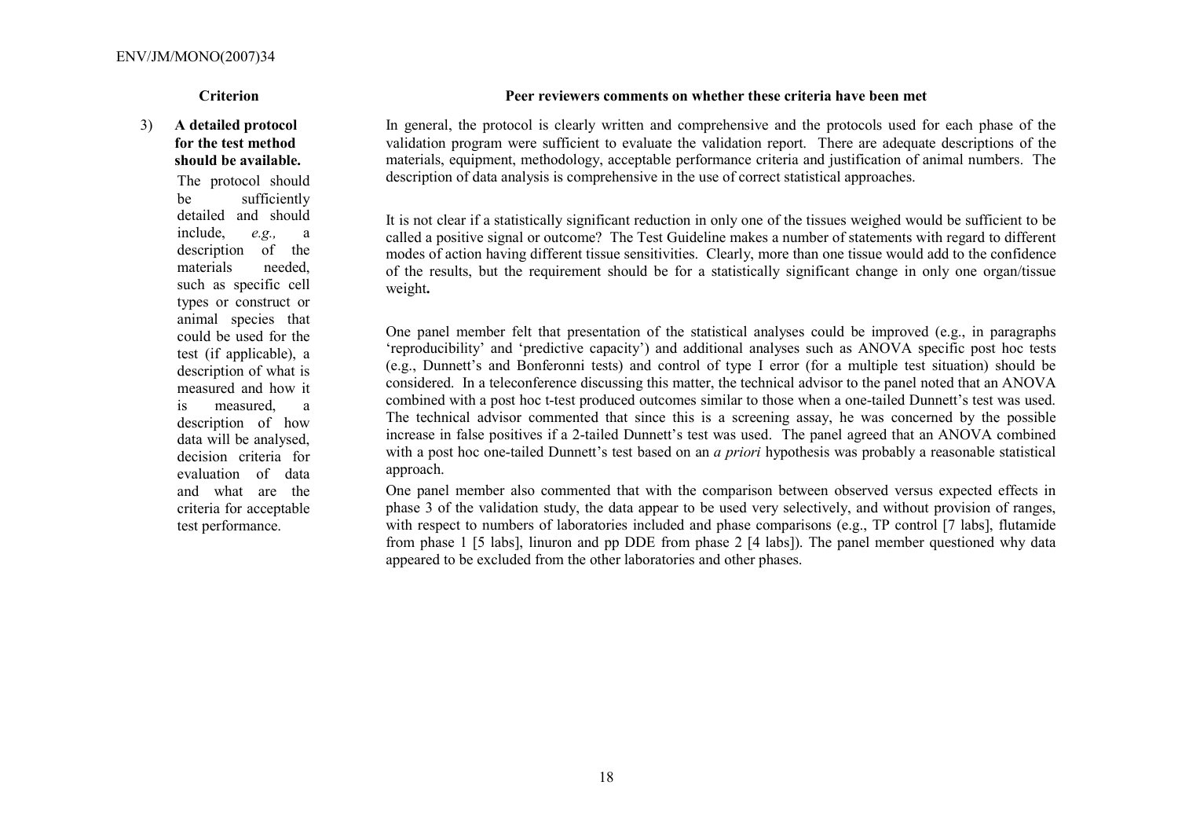# 3) **A detailed protocol for the test method should be available.** The protocol should be sufficiently detailed and should include, *e.g.,* <sup>a</sup> description of the materials needed, such as specific cell types or construct or animal species that could be used for the test (if applicable), a description of what is measured and how it is measured, a description of how data will be analysed, decision criteria for evaluation of data and what are the

criteria for acceptable test performance.

It is not clear if a statistically significant reduction in only one of the tissues weighed would be sufficient to be called a positive signal or outcome? The Test Guideline makes a number of statements with regard to different modes of action having different tissue sensitivities. Clearly, more than one tissue would add to the confidence of the results, but the requirement should be for a statistically significant change in only one organ/tissue weight**.**

> One panel member felt that presentation of the statistical analyses could be improved (e.g., in paragraphs 'reproducibility' and 'predictive capacity') and additional analyses such as ANOVA specific post hoc tests (e.g., Dunnett's and Bonferonni tests) and control of type I error (for a multiple test situation) should be considered. In a teleconference discussing this matter, the technical advisor to the panel noted that an ANOVA combined with a post hoc t-test produced outcomes similar to those when a one-tailed Dunnett's test was used. The technical advisor commented that since this is a screening assay, he was concerned by the possible increase in false positives if a 2-tailed Dunnett's test was used. The panel agreed that an ANOVA combined with a post hoc one-tailed Dunnett's test based on an *a priori* hypothesis was probably a reasonable statistical approach.

> One panel member also commented that with the comparison between observed versus expected effects in phase 3 of the validation study, the data appear to be used very selectively, and without provision of ranges, with respect to numbers of laboratories included and phase comparisons (e.g., TP control [7 labs], flutamide from phase 1 [5 labs], linuron and pp DDE from phase 2 [4 labs]). The panel member questioned why data appeared to be excluded from the other laboratories and other phases.

## **Criterion Peer reviewers comments on whether these criteria have been met**

In general, the protocol is clearly written and comprehensive and the protocols used for each phase of the validation program were sufficient to evaluate the validation report. There are adequate descriptions of the materials, equipment, methodology, acceptable performance criteria and justification of animal numbers. The description of data analysis is comprehensive in the use of correct statistical approaches.

18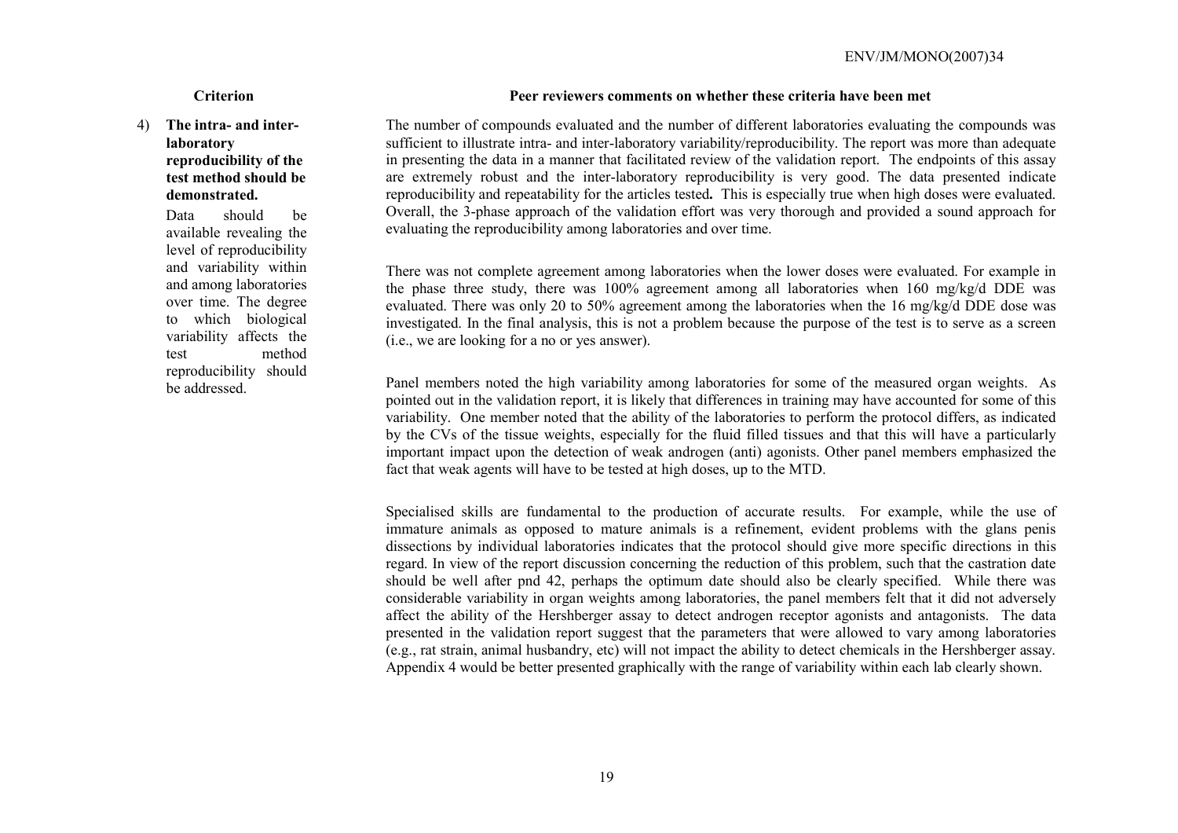# 4) **The intra- and interlaboratory reproducibility of the test method should be demonstrated.**

 Data should be available revealing the level of reproducibility and variability within and among laboratories over time. The degree to which biological variability affects the test method reproducibility should be addressed.

## **Criterion Peer reviewers comments on whether these criteria have been met**

The number of compounds evaluated and the number of different laboratories evaluating the compounds was sufficient to illustrate intra- and inter-laboratory variability/reproducibility. The report was more than adequate in presenting the data in a manner that facilitated review of the validation report. The endpoints of this assay are extremely robust and the inter-laboratory reproducibility is very good. The data presented indicate reproducibility and repeatability for the articles tested**.** This is especially true when high doses were evaluated. Overall, the 3-phase approach of the validation effort was very thorough and provided a sound approach for evaluating the reproducibility among laboratories and over time.

There was not complete agreement among laboratories when the lower doses were evaluated. For example in the phase three study, there was 100% agreement among all laboratories when 160 mg/kg/d DDE was evaluated. There was only 20 to 50% agreement among the laboratories when the 16 mg/kg/d DDE dose was investigated. In the final analysis, this is not a problem because the purpose of the test is to serve as a screen (i.e., we are looking for a no or yes answer).

Panel members noted the high variability among laboratories for some of the measured organ weights. As pointed out in the validation report, it is likely that differences in training may have accounted for some of this variability. One member noted that the ability of the laboratories to perform the protocol differs, as indicated by the CVs of the tissue weights, especially for the fluid filled tissues and that this will have a particularly important impact upon the detection of weak androgen (anti) agonists. Other panel members emphasized the fact that weak agents will have to be tested at high doses, up to the MTD.

Specialised skills are fundamental to the production of accurate results. For example, while the use of immature animals as opposed to mature animals is a refinement, evident problems with the glans penis dissections by individual laboratories indicates that the protocol should give more specific directions in this regard. In view of the report discussion concerning the reduction of this problem, such that the castration date should be well after pnd 42, perhaps the optimum date should also be clearly specified. While there was considerable variability in organ weights among laboratories, the panel members felt that it did not adversely affect the ability of the Hershberger assay to detect androgen receptor agonists and antagonists. The data presented in the validation report suggest that the parameters that were allowed to vary among laboratories (e.g., rat strain, animal husbandry, etc) will not impact the ability to detect chemicals in the Hershberger assay. Appendix 4 would be better presented graphically with the range of variability within each lab clearly shown.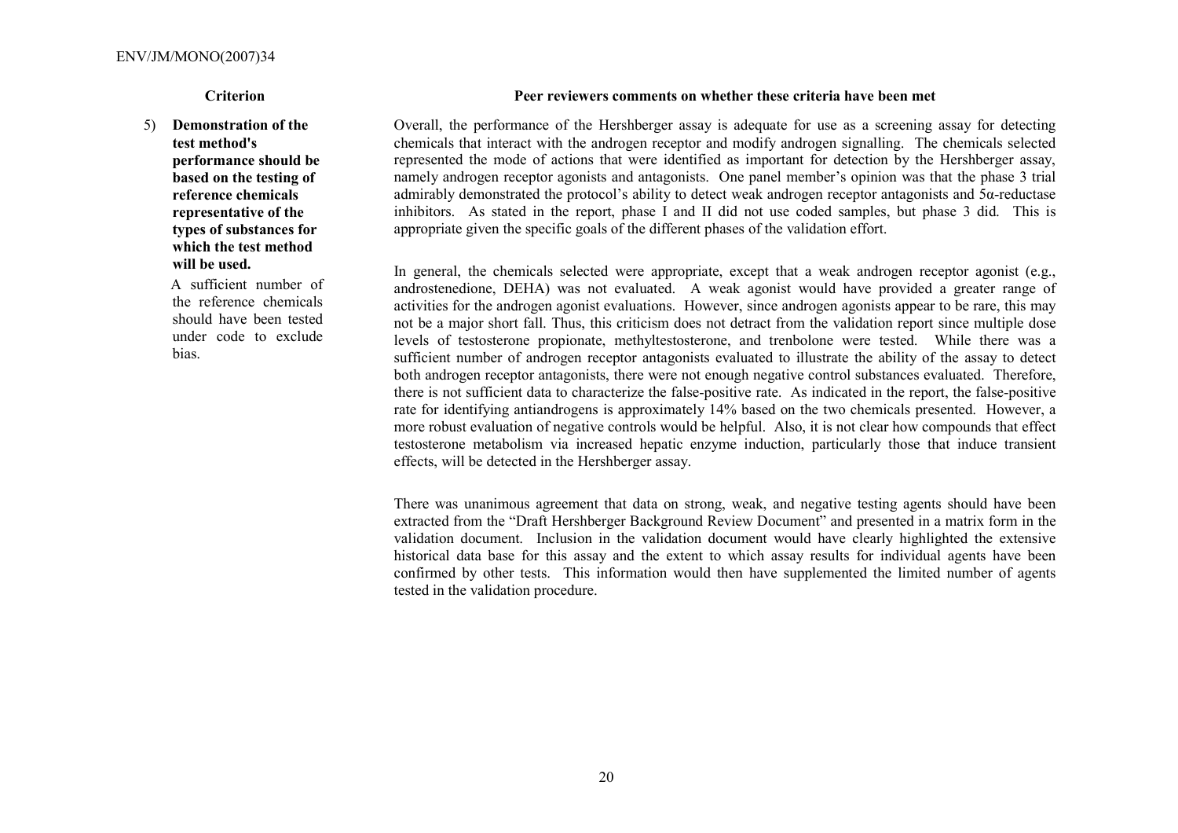## 5) **Demonstration of the test method's performance should be based on the testing of reference chemicals representative of the types of substances for which the test method will be used.**

A sufficient number of the reference chemicals should have been tested under code to exclude bias.

## **Criterion Peer reviewers comments on whether these criteria have been met**

Overall, the performance of the Hershberger assay is adequate for use as a screening assay for detecting chemicals that interact with the androgen receptor and modify androgen signalling. The chemicals selected represented the mode of actions that were identified as important for detection by the Hershberger assay, namely androgen receptor agonists and antagonists. One panel member's opinion was that the phase 3 trial admirably demonstrated the protocol's ability to detect weak androgen receptor antagonists and  $5\alpha$ -reductase inhibitors. As stated in the report, phase I and II did not use coded samples, but phase 3 did. This is appropriate given the specific goals of the different phases of the validation effort.

In general, the chemicals selected were appropriate, except that a weak androgen receptor agonist (e.g., androstenedione, DEHA) was not evaluated. A weak agonist would have provided a greater range of activities for the androgen agonist evaluations. However, since androgen agonists appear to be rare, this may not be a major short fall. Thus, this criticism does not detract from the validation report since multiple dose levels of testosterone propionate, methyltestosterone, and trenbolone were tested. While there was a sufficient number of androgen receptor antagonists evaluated to illustrate the ability of the assay to detect both androgen receptor antagonists, there were not enough negative control substances evaluated. Therefore, there is not sufficient data to characterize the false-positive rate. As indicated in the report, the false-positive rate for identifying antiandrogens is approximately 14% based on the two chemicals presented. However, a more robust evaluation of negative controls would be helpful. Also, it is not clear how compounds that effect testosterone metabolism via increased hepatic enzyme induction, particularly those that induce transient effects, will be detected in the Hershberger assay.

There was unanimous agreement that data on strong, weak, and negative testing agents should have been extracted from the "Draft Hershberger Background Review Document" and presented in a matrix form in the validation document. Inclusion in the validation document would have clearly highlighted the extensive historical data base for this assay and the extent to which assay results for individual agents have been confirmed by other tests. This information would then have supplemented the limited number of agents tested in the validation procedure.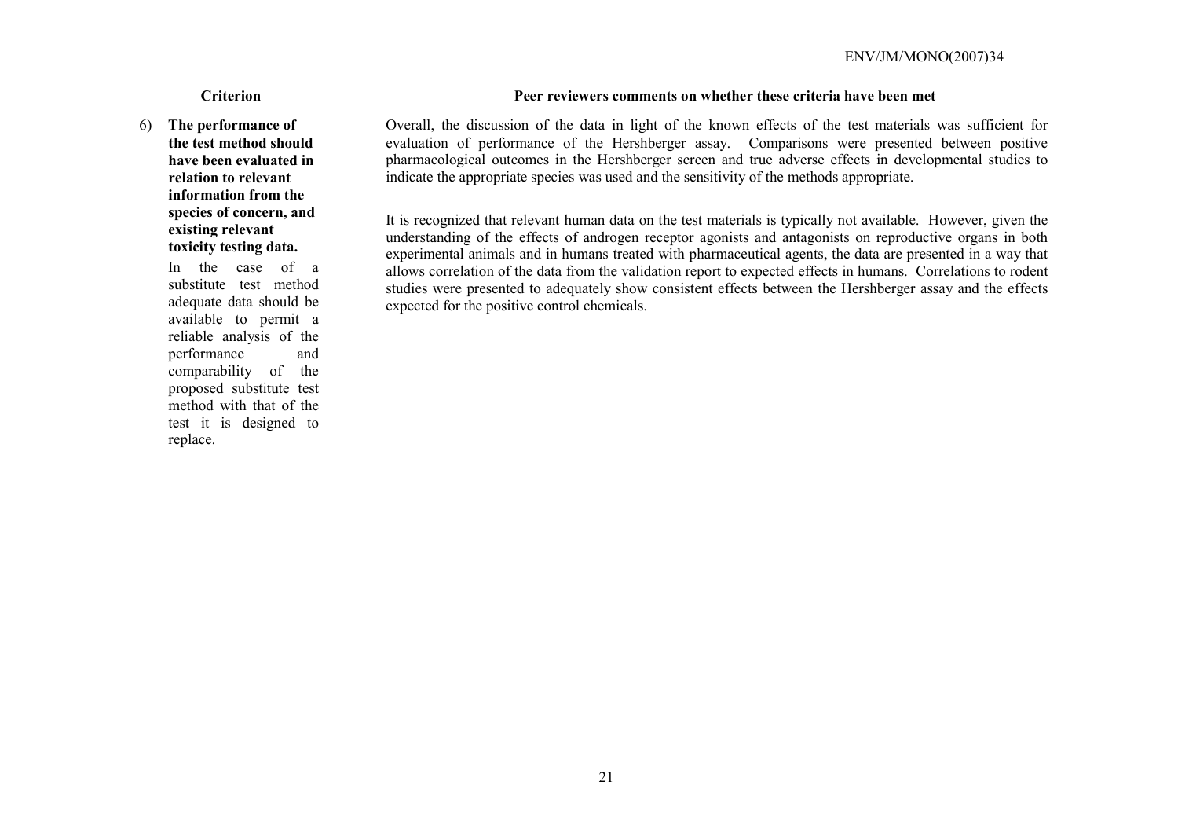6) **The performance of the test method should have been evaluated in relation to relevant information from the species of concern, and existing relevant toxicity testing data.** 

> In the case of a substitute test method adequate data should be available to permit a reliable analysis of the performance and comparability of the proposed substitute test method with that of the test it is designed to replace.

## **Criterion Peer reviewers comments on whether these criteria have been met**

Overall, the discussion of the data in light of the known effects of the test materials was sufficient for evaluation of performance of the Hershberger assay. Comparisons were presented between positive pharmacological outcomes in the Hershberger screen and true adverse effects in developmental studies to indicate the appropriate species was used and the sensitivity of the methods appropriate.

It is recognized that relevant human data on the test materials is typically not available. However, given the understanding of the effects of androgen receptor agonists and antagonists on reproductive organs in both experimental animals and in humans treated with pharmaceutical agents, the data are presented in a way that allows correlation of the data from the validation report to expected effects in humans. Correlations to rodent studies were presented to adequately show consistent effects between the Hershberger assay and the effects expected for the positive control chemicals.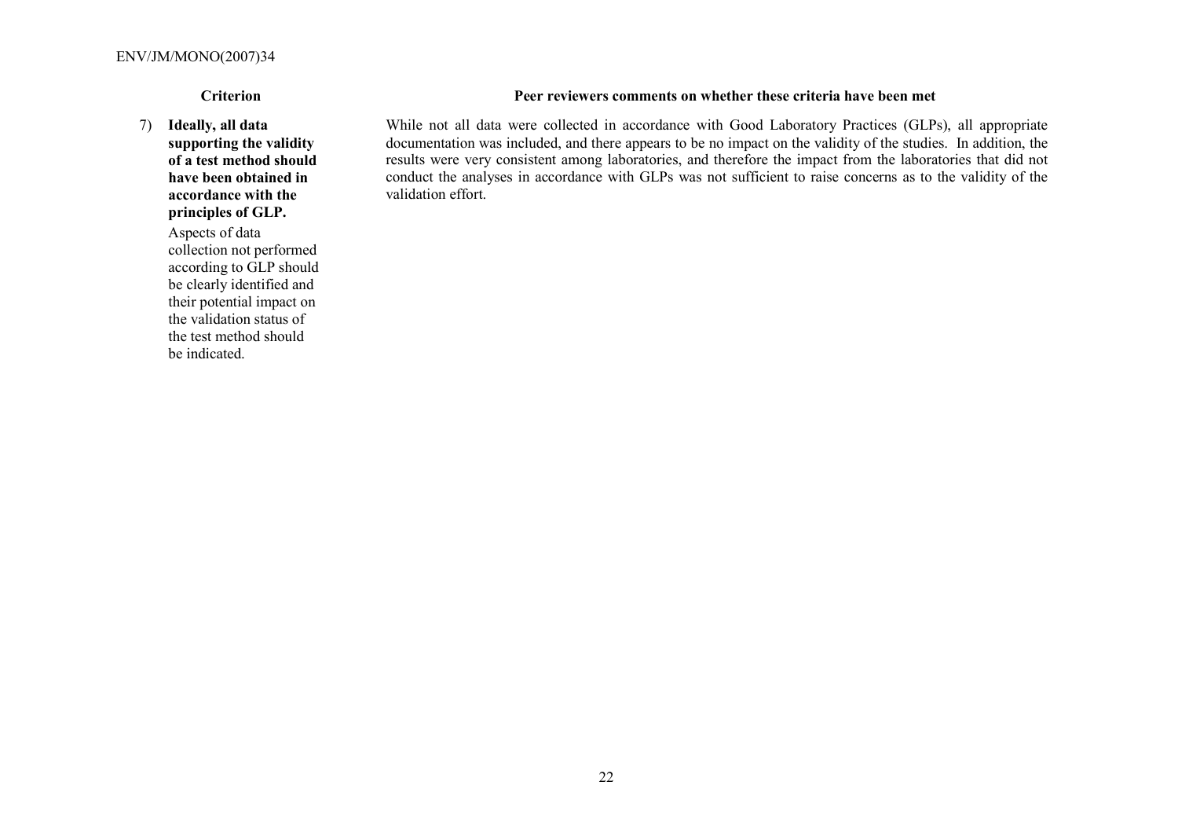7) **Ideally, all data supporting the validity** 

**of a test method should have been obtained in accordance with the principles of GLP.**

 Aspects of data collection not performed according to GLP should be clearly identified and their potential impact on the validation status of the test method should be indicated.

## **Criterion Peer reviewers comments on whether these criteria have been met**

While not all data were collected in accordance with Good Laboratory Practices (GLPs), all appropriate documentation was included, and there appears to be no impact on the validity of the studies. In addition, the results were very consistent among laboratories, and therefore the impact from the laboratories that did not conduct the analyses in accordance with GLPs was not sufficient to raise concerns as to the validity of the validation effort.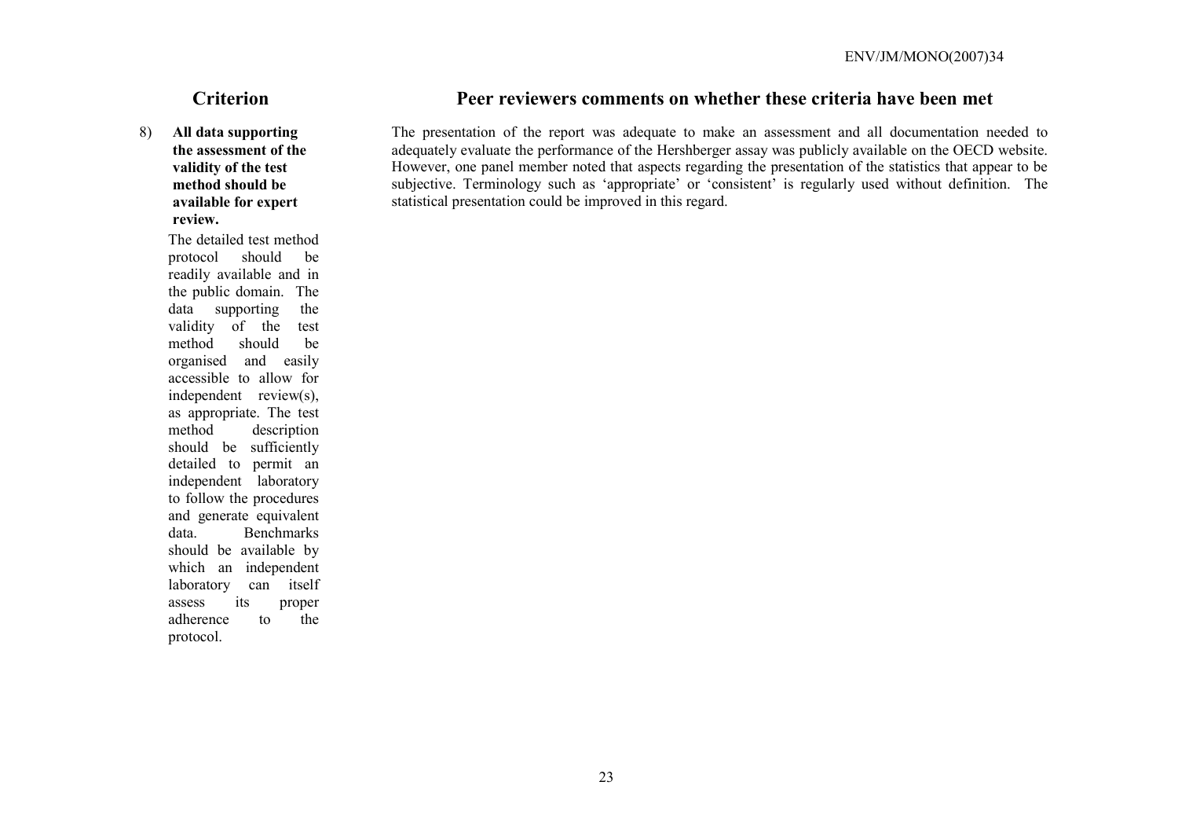8) **All data supporting the assessment of the validity of the test method should be available for expert review.**

> The detailed test method protocol should be readily available and in the public domain. The data supporting the validity of the test method should be organised and easily accessible to allow for independent review(s), as appropriate. The test method description should be sufficiently detailed to permit an independent laboratory to follow the procedures and generate equivalent data. Benchmarks should be available by which an independent laboratory can itself assess its proper adherence to the protocol.

# **Criterion Peer reviewers comments on whether these criteria have been met**

The presentation of the report was adequate to make an assessment and all documentation needed to adequately evaluate the performance of the Hershberger assay was publicly available on the OECD website. However, one panel member noted that aspects regarding the presentation of the statistics that appear to be subjective. Terminology such as 'appropriate' or 'consistent' is regularly used without definition. The statistical presentation could be improved in this regard.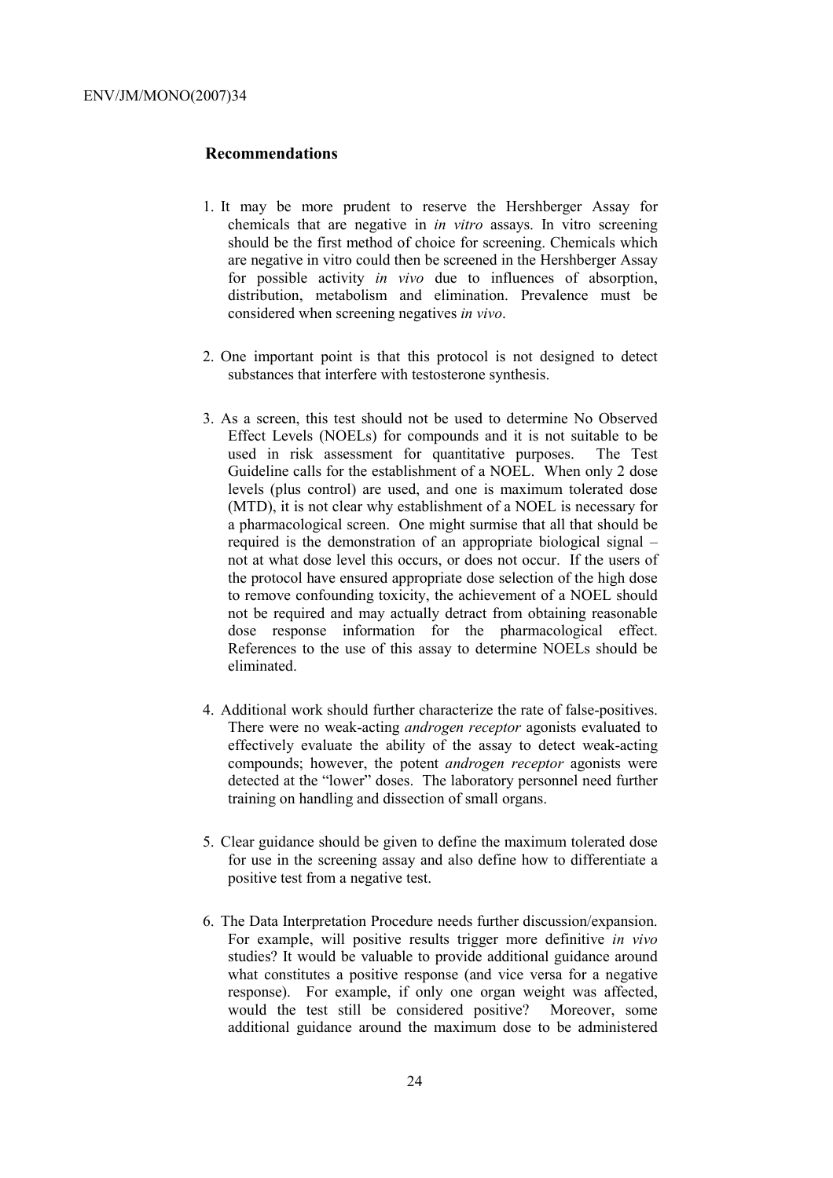## **Recommendations**

- 1. It may be more prudent to reserve the Hershberger Assay for chemicals that are negative in *in vitro* assays. In vitro screening should be the first method of choice for screening. Chemicals which are negative in vitro could then be screened in the Hershberger Assay for possible activity *in vivo* due to influences of absorption, distribution, metabolism and elimination. Prevalence must be considered when screening negatives *in vivo*.
- 2. One important point is that this protocol is not designed to detect substances that interfere with testosterone synthesis.
- 3. As a screen, this test should not be used to determine No Observed Effect Levels (NOELs) for compounds and it is not suitable to be used in risk assessment for quantitative purposes. The Test Guideline calls for the establishment of a NOEL. When only 2 dose levels (plus control) are used, and one is maximum tolerated dose (MTD), it is not clear why establishment of a NOEL is necessary for a pharmacological screen. One might surmise that all that should be required is the demonstration of an appropriate biological signal – not at what dose level this occurs, or does not occur. If the users of the protocol have ensured appropriate dose selection of the high dose to remove confounding toxicity, the achievement of a NOEL should not be required and may actually detract from obtaining reasonable dose response information for the pharmacological effect. References to the use of this assay to determine NOELs should be eliminated.
- 4. Additional work should further characterize the rate of false-positives. There were no weak-acting *androgen receptor* agonists evaluated to effectively evaluate the ability of the assay to detect weak-acting compounds; however, the potent *androgen receptor* agonists were detected at the "lower" doses. The laboratory personnel need further training on handling and dissection of small organs.
- 5. Clear guidance should be given to define the maximum tolerated dose for use in the screening assay and also define how to differentiate a positive test from a negative test.
- 6. The Data Interpretation Procedure needs further discussion/expansion. For example, will positive results trigger more definitive *in vivo* studies? It would be valuable to provide additional guidance around what constitutes a positive response (and vice versa for a negative response). For example, if only one organ weight was affected, would the test still be considered positive? Moreover, some additional guidance around the maximum dose to be administered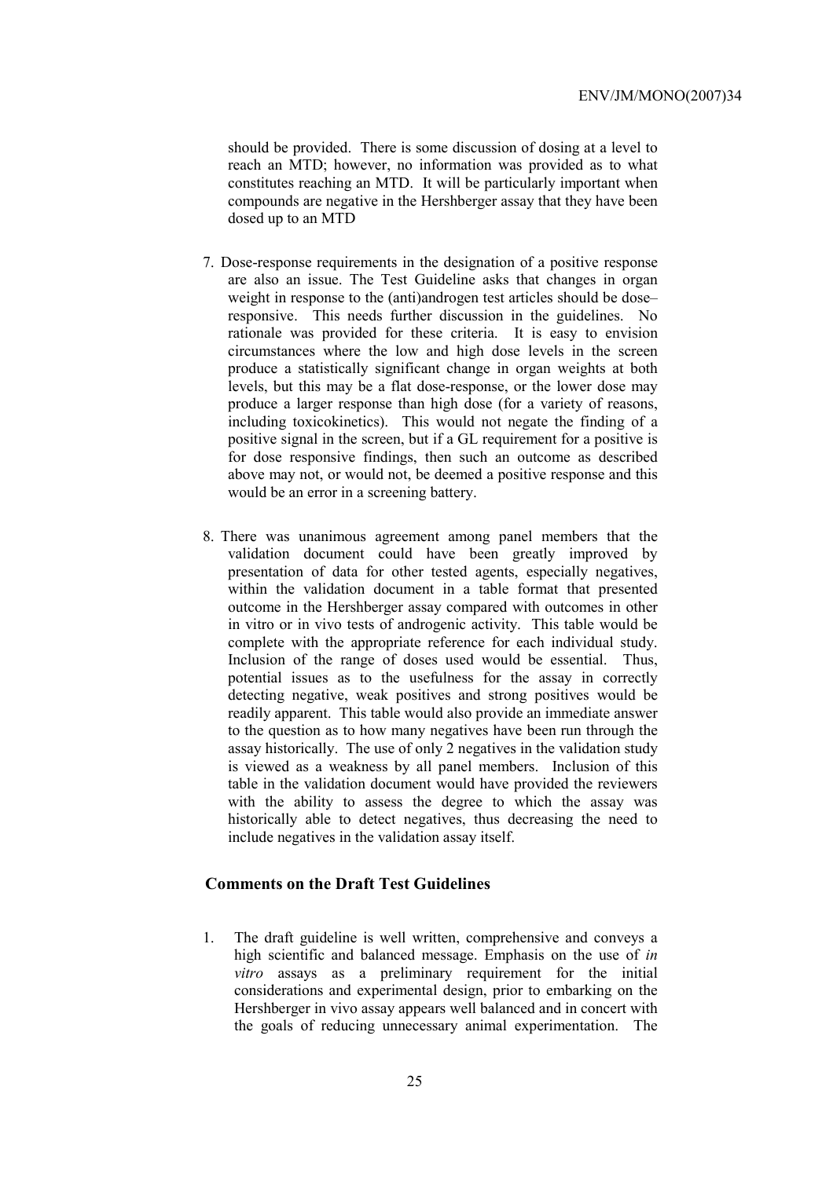should be provided. There is some discussion of dosing at a level to reach an MTD; however, no information was provided as to what constitutes reaching an MTD. It will be particularly important when compounds are negative in the Hershberger assay that they have been dosed up to an MTD

- 7. Dose-response requirements in the designation of a positive response are also an issue. The Test Guideline asks that changes in organ weight in response to the (anti)androgen test articles should be dose– responsive. This needs further discussion in the guidelines. No rationale was provided for these criteria. It is easy to envision circumstances where the low and high dose levels in the screen produce a statistically significant change in organ weights at both levels, but this may be a flat dose-response, or the lower dose may produce a larger response than high dose (for a variety of reasons, including toxicokinetics). This would not negate the finding of a positive signal in the screen, but if a GL requirement for a positive is for dose responsive findings, then such an outcome as described above may not, or would not, be deemed a positive response and this would be an error in a screening battery.
- 8. There was unanimous agreement among panel members that the validation document could have been greatly improved by presentation of data for other tested agents, especially negatives, within the validation document in a table format that presented outcome in the Hershberger assay compared with outcomes in other in vitro or in vivo tests of androgenic activity. This table would be complete with the appropriate reference for each individual study. Inclusion of the range of doses used would be essential. Thus, potential issues as to the usefulness for the assay in correctly detecting negative, weak positives and strong positives would be readily apparent. This table would also provide an immediate answer to the question as to how many negatives have been run through the assay historically. The use of only 2 negatives in the validation study is viewed as a weakness by all panel members. Inclusion of this table in the validation document would have provided the reviewers with the ability to assess the degree to which the assay was historically able to detect negatives, thus decreasing the need to include negatives in the validation assay itself.

# **Comments on the Draft Test Guidelines**

1. The draft guideline is well written, comprehensive and conveys a high scientific and balanced message. Emphasis on the use of *in vitro* assays as a preliminary requirement for the initial considerations and experimental design, prior to embarking on the Hershberger in vivo assay appears well balanced and in concert with the goals of reducing unnecessary animal experimentation. The